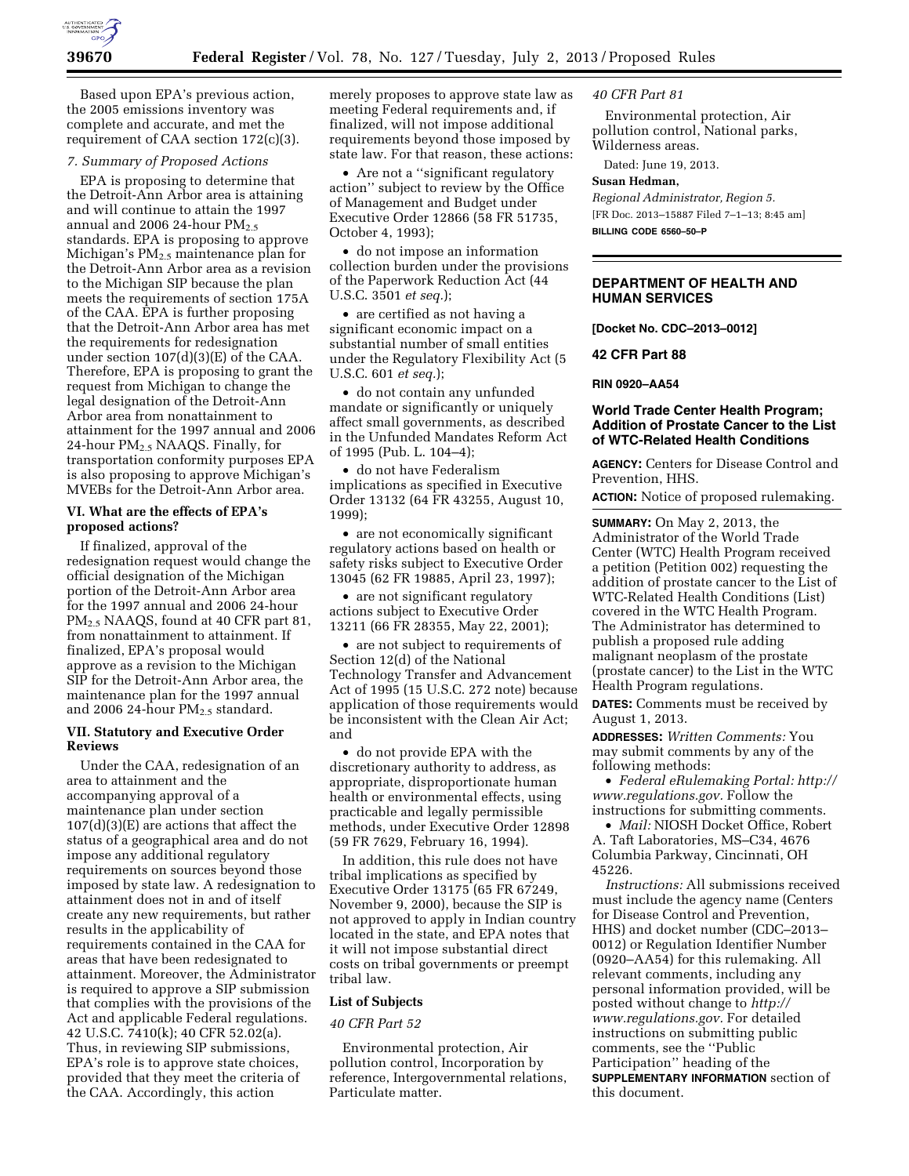

Based upon EPA's previous action, the 2005 emissions inventory was complete and accurate, and met the requirement of CAA section 172(c)(3).

## *7. Summary of Proposed Actions*

EPA is proposing to determine that the Detroit-Ann Arbor area is attaining and will continue to attain the 1997 annual and 2006 24-hour  $PM_{2.5}$ standards. EPA is proposing to approve Michigan's PM2.5 maintenance plan for the Detroit-Ann Arbor area as a revision to the Michigan SIP because the plan meets the requirements of section 175A of the CAA. EPA is further proposing that the Detroit-Ann Arbor area has met the requirements for redesignation under section 107(d)(3)(E) of the CAA. Therefore, EPA is proposing to grant the request from Michigan to change the legal designation of the Detroit-Ann Arbor area from nonattainment to attainment for the 1997 annual and 2006 24-hour PM2.5 NAAQS. Finally, for transportation conformity purposes EPA is also proposing to approve Michigan's MVEBs for the Detroit-Ann Arbor area.

# **VI. What are the effects of EPA's proposed actions?**

If finalized, approval of the redesignation request would change the official designation of the Michigan portion of the Detroit-Ann Arbor area for the 1997 annual and 2006 24-hour PM2.5 NAAQS, found at 40 CFR part 81, from nonattainment to attainment. If finalized, EPA's proposal would approve as a revision to the Michigan SIP for the Detroit-Ann Arbor area, the maintenance plan for the 1997 annual and 2006 24-hour PM2.5 standard.

#### **VII. Statutory and Executive Order Reviews**

Under the CAA, redesignation of an area to attainment and the accompanying approval of a maintenance plan under section 107(d)(3)(E) are actions that affect the status of a geographical area and do not impose any additional regulatory requirements on sources beyond those imposed by state law. A redesignation to attainment does not in and of itself create any new requirements, but rather results in the applicability of requirements contained in the CAA for areas that have been redesignated to attainment. Moreover, the Administrator is required to approve a SIP submission that complies with the provisions of the Act and applicable Federal regulations. 42 U.S.C. 7410(k); 40 CFR 52.02(a). Thus, in reviewing SIP submissions, EPA's role is to approve state choices, provided that they meet the criteria of the CAA. Accordingly, this action

merely proposes to approve state law as meeting Federal requirements and, if finalized, will not impose additional requirements beyond those imposed by state law. For that reason, these actions:

• Are not a ''significant regulatory action'' subject to review by the Office of Management and Budget under Executive Order 12866 (58 FR 51735, October 4, 1993);

• do not impose an information collection burden under the provisions of the Paperwork Reduction Act (44 U.S.C. 3501 *et seq.*);

• are certified as not having a significant economic impact on a substantial number of small entities under the Regulatory Flexibility Act (5 U.S.C. 601 *et seq.*);

• do not contain any unfunded mandate or significantly or uniquely affect small governments, as described in the Unfunded Mandates Reform Act of 1995 (Pub. L. 104–4);

• do not have Federalism implications as specified in Executive Order 13132 (64 FR 43255, August 10, 1999);

• are not economically significant regulatory actions based on health or safety risks subject to Executive Order 13045 (62 FR 19885, April 23, 1997);

• are not significant regulatory actions subject to Executive Order 13211 (66 FR 28355, May 22, 2001);

• are not subject to requirements of Section 12(d) of the National Technology Transfer and Advancement Act of 1995 (15 U.S.C. 272 note) because application of those requirements would be inconsistent with the Clean Air Act; and

• do not provide EPA with the discretionary authority to address, as appropriate, disproportionate human health or environmental effects, using practicable and legally permissible methods, under Executive Order 12898 (59 FR 7629, February 16, 1994).

In addition, this rule does not have tribal implications as specified by Executive Order 13175 (65 FR 67249, November 9, 2000), because the SIP is not approved to apply in Indian country located in the state, and EPA notes that it will not impose substantial direct costs on tribal governments or preempt tribal law.

## **List of Subjects**

#### *40 CFR Part 52*

Environmental protection, Air pollution control, Incorporation by reference, Intergovernmental relations, Particulate matter.

#### *40 CFR Part 81*

Environmental protection, Air pollution control, National parks, Wilderness areas.

Dated: June 19, 2013.

#### **Susan Hedman,**

*Regional Administrator, Region 5.*  [FR Doc. 2013–15887 Filed 7–1–13; 8:45 am] **BILLING CODE 6560–50–P** 

# **DEPARTMENT OF HEALTH AND HUMAN SERVICES**

**[Docket No. CDC–2013–0012]** 

#### **42 CFR Part 88**

**RIN 0920–AA54** 

# **World Trade Center Health Program; Addition of Prostate Cancer to the List of WTC-Related Health Conditions**

**AGENCY:** Centers for Disease Control and Prevention, HHS.

**ACTION:** Notice of proposed rulemaking.

**SUMMARY:** On May 2, 2013, the Administrator of the World Trade Center (WTC) Health Program received a petition (Petition 002) requesting the addition of prostate cancer to the List of WTC-Related Health Conditions (List) covered in the WTC Health Program. The Administrator has determined to publish a proposed rule adding malignant neoplasm of the prostate (prostate cancer) to the List in the WTC Health Program regulations.

**DATES:** Comments must be received by August 1, 2013.

**ADDRESSES:** *Written Comments:* You may submit comments by any of the following methods:

• *Federal eRulemaking Portal: [http://](http://www.regulations.gov)  [www.regulations.gov.](http://www.regulations.gov)* Follow the instructions for submitting comments.

• *Mail:* NIOSH Docket Office, Robert A. Taft Laboratories, MS–C34, 4676 Columbia Parkway, Cincinnati, OH 45226.

*Instructions:* All submissions received must include the agency name (Centers for Disease Control and Prevention, HHS) and docket number (CDC–2013– 0012) or Regulation Identifier Number (0920–AA54) for this rulemaking. All relevant comments, including any personal information provided, will be posted without change to *[http://](http://www.regulations.gov) [www.regulations.gov.](http://www.regulations.gov)* For detailed instructions on submitting public comments, see the ''Public Participation'' heading of the **SUPPLEMENTARY INFORMATION** section of this document.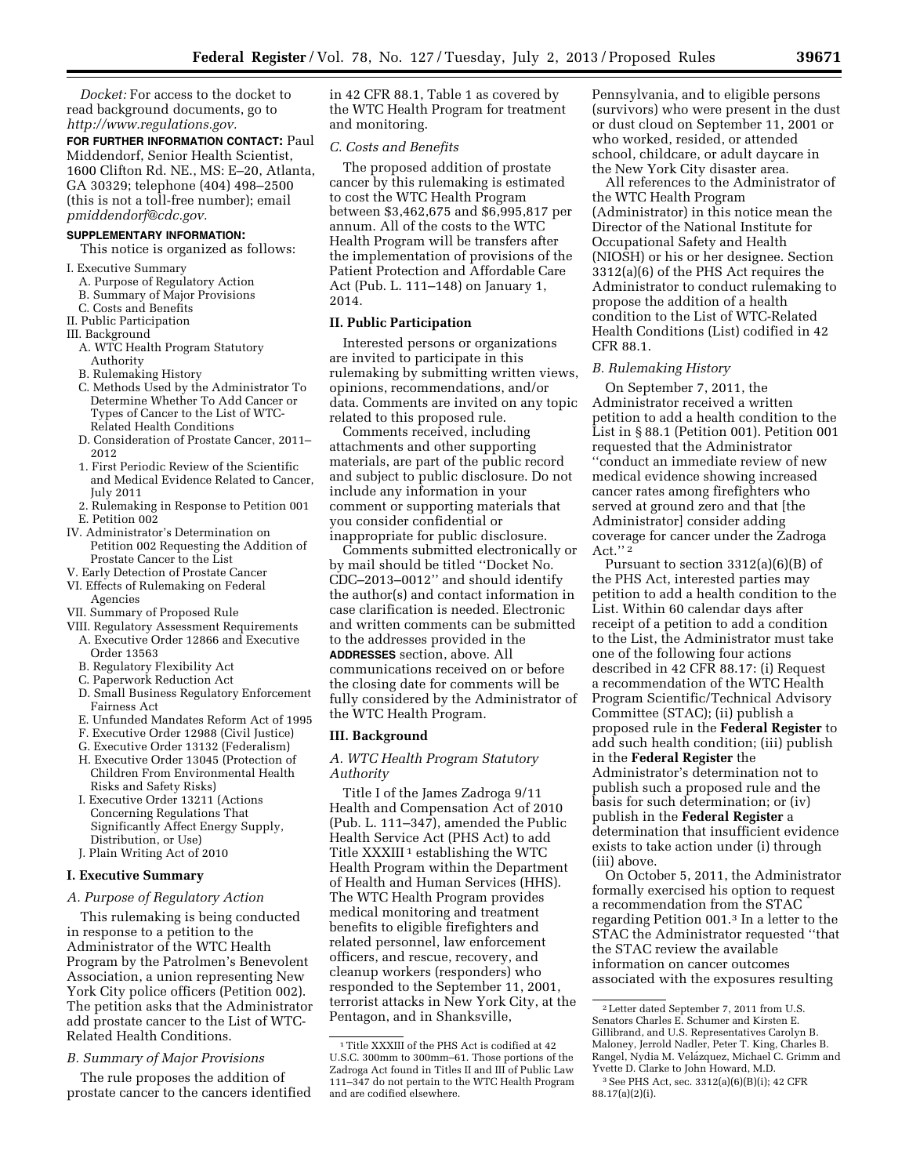*Docket:* For access to the docket to read background documents, go to *[http://www.regulations.gov.](http://www.regulations.gov)* 

**FOR FURTHER INFORMATION CONTACT:** Paul Middendorf, Senior Health Scientist, 1600 Clifton Rd. NE., MS: E–20, Atlanta, GA 30329; telephone (404) 498–2500 (this is not a toll-free number); email *[pmiddendorf@cdc.gov.](mailto:pmiddendorf@cdc.gov)* 

# **SUPPLEMENTARY INFORMATION:**

This notice is organized as follows:

- I. Executive Summary
	- A. Purpose of Regulatory Action
	- B. Summary of Major Provisions
- C. Costs and Benefits
- II. Public Participation
- III. Background
- A. WTC Health Program Statutory Authority
- B. Rulemaking History
- C. Methods Used by the Administrator To Determine Whether To Add Cancer or Types of Cancer to the List of WTC-Related Health Conditions
- D. Consideration of Prostate Cancer, 2011– 2012
- 1. First Periodic Review of the Scientific and Medical Evidence Related to Cancer, July 2011
- 2. Rulemaking in Response to Petition 001 E. Petition 002
- IV. Administrator's Determination on Petition 002 Requesting the Addition of Prostate Cancer to the List
- V. Early Detection of Prostate Cancer
- VI. Effects of Rulemaking on Federal Agencies
- VII. Summary of Proposed Rule
- VIII. Regulatory Assessment Requirements
	- A. Executive Order 12866 and Executive Order 13563
	- B. Regulatory Flexibility Act
	- C. Paperwork Reduction Act
	- D. Small Business Regulatory Enforcement Fairness Act
	- E. Unfunded Mandates Reform Act of 1995
	- F. Executive Order 12988 (Civil Justice)
	- G. Executive Order 13132 (Federalism)
	- H. Executive Order 13045 (Protection of Children From Environmental Health Risks and Safety Risks)
	- I. Executive Order 13211 (Actions Concerning Regulations That Significantly Affect Energy Supply, Distribution, or Use)
	- J. Plain Writing Act of 2010

#### **I. Executive Summary**

# *A. Purpose of Regulatory Action*

This rulemaking is being conducted in response to a petition to the Administrator of the WTC Health Program by the Patrolmen's Benevolent Association, a union representing New York City police officers (Petition 002). The petition asks that the Administrator add prostate cancer to the List of WTC-Related Health Conditions.

# *B. Summary of Major Provisions*

The rule proposes the addition of prostate cancer to the cancers identified in 42 CFR 88.1, Table 1 as covered by the WTC Health Program for treatment and monitoring.

#### *C. Costs and Benefits*

The proposed addition of prostate cancer by this rulemaking is estimated to cost the WTC Health Program between \$3,462,675 and \$6,995,817 per annum. All of the costs to the WTC Health Program will be transfers after the implementation of provisions of the Patient Protection and Affordable Care Act (Pub. L. 111–148) on January 1, 2014.

#### **II. Public Participation**

Interested persons or organizations are invited to participate in this rulemaking by submitting written views, opinions, recommendations, and/or data. Comments are invited on any topic related to this proposed rule.

Comments received, including attachments and other supporting materials, are part of the public record and subject to public disclosure. Do not include any information in your comment or supporting materials that you consider confidential or inappropriate for public disclosure.

Comments submitted electronically or by mail should be titled ''Docket No. CDC–2013–0012'' and should identify the author(s) and contact information in case clarification is needed. Electronic and written comments can be submitted to the addresses provided in the **ADDRESSES** section, above. All communications received on or before the closing date for comments will be fully considered by the Administrator of the WTC Health Program.

# **III. Background**

# *A. WTC Health Program Statutory Authority*

Title I of the James Zadroga 9/11 Health and Compensation Act of 2010 (Pub. L. 111–347), amended the Public Health Service Act (PHS Act) to add Title  $XXXIII$ <sup>1</sup> establishing the WTC Health Program within the Department of Health and Human Services (HHS). The WTC Health Program provides medical monitoring and treatment benefits to eligible firefighters and related personnel, law enforcement officers, and rescue, recovery, and cleanup workers (responders) who responded to the September 11, 2001, terrorist attacks in New York City, at the Pentagon, and in Shanksville,

Pennsylvania, and to eligible persons (survivors) who were present in the dust or dust cloud on September 11, 2001 or who worked, resided, or attended school, childcare, or adult daycare in the New York City disaster area.

All references to the Administrator of the WTC Health Program (Administrator) in this notice mean the Director of the National Institute for Occupational Safety and Health (NIOSH) or his or her designee. Section 3312(a)(6) of the PHS Act requires the Administrator to conduct rulemaking to propose the addition of a health condition to the List of WTC-Related Health Conditions (List) codified in 42 CFR 88.1.

# *B. Rulemaking History*

On September 7, 2011, the Administrator received a written petition to add a health condition to the List in § 88.1 (Petition 001). Petition 001 requested that the Administrator ''conduct an immediate review of new medical evidence showing increased cancer rates among firefighters who served at ground zero and that [the Administrator] consider adding coverage for cancer under the Zadroga Act." $2$ 

Pursuant to section 3312(a)(6)(B) of the PHS Act, interested parties may petition to add a health condition to the List. Within 60 calendar days after receipt of a petition to add a condition to the List, the Administrator must take one of the following four actions described in 42 CFR 88.17: (i) Request a recommendation of the WTC Health Program Scientific/Technical Advisory Committee (STAC); (ii) publish a proposed rule in the **Federal Register** to add such health condition; (iii) publish in the **Federal Register** the Administrator's determination not to publish such a proposed rule and the basis for such determination; or (iv) publish in the **Federal Register** a determination that insufficient evidence exists to take action under (i) through (iii) above.

On October 5, 2011, the Administrator formally exercised his option to request a recommendation from the STAC regarding Petition 001.3 In a letter to the STAC the Administrator requested ''that the STAC review the available information on cancer outcomes associated with the exposures resulting

 $^{\rm 1}$  Title XXXIII of the PHS Act is codified at 42 U.S.C. 300mm to 300mm–61. Those portions of the Zadroga Act found in Titles II and III of Public Law 111–347 do not pertain to the WTC Health Program and are codified elsewhere.

<sup>2</sup>Letter dated September 7, 2011 from U.S. Senators Charles E. Schumer and Kirsten E. Gillibrand, and U.S. Representatives Carolyn B. Maloney, Jerrold Nadler, Peter T. King, Charles B. Rangel, Nydia M. Velázquez, Michael C. Grimm and Yvette D. Clarke to John Howard, M.D.

<sup>3</sup>See PHS Act, sec. 3312(a)(6)(B)(i); 42 CFR 88.17(a)(2)(i).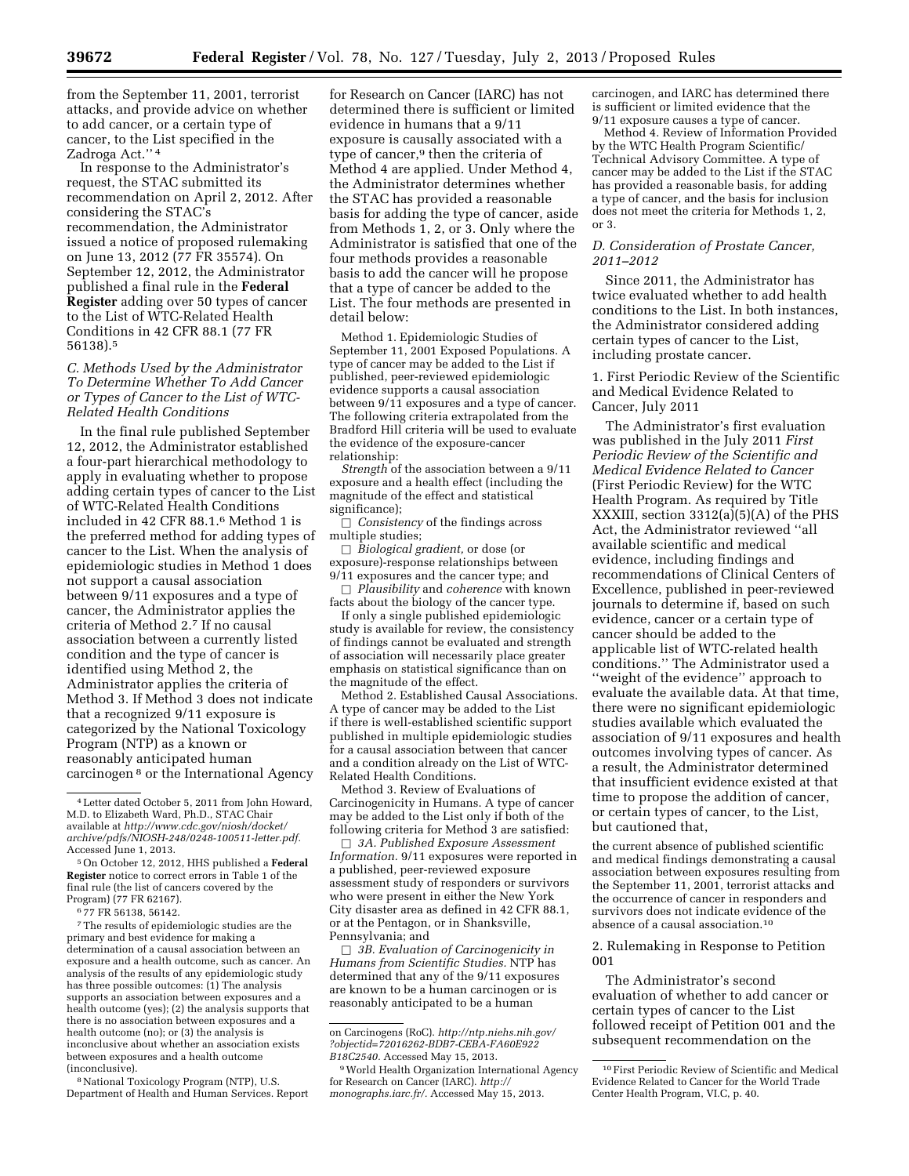from the September 11, 2001, terrorist attacks, and provide advice on whether to add cancer, or a certain type of cancer, to the List specified in the Zadroga Act.'' 4

In response to the Administrator's request, the STAC submitted its recommendation on April 2, 2012. After considering the STAC's recommendation, the Administrator issued a notice of proposed rulemaking on June 13, 2012 (77 FR 35574). On September 12, 2012, the Administrator published a final rule in the **Federal Register** adding over 50 types of cancer to the List of WTC-Related Health Conditions in 42 CFR 88.1 (77 FR 56138).5

*C. Methods Used by the Administrator To Determine Whether To Add Cancer or Types of Cancer to the List of WTC-Related Health Conditions* 

In the final rule published September 12, 2012, the Administrator established a four-part hierarchical methodology to apply in evaluating whether to propose adding certain types of cancer to the List of WTC-Related Health Conditions included in 42 CFR 88.1.6 Method 1 is the preferred method for adding types of cancer to the List. When the analysis of epidemiologic studies in Method 1 does not support a causal association between 9/11 exposures and a type of cancer, the Administrator applies the criteria of Method 2.7 If no causal association between a currently listed condition and the type of cancer is identified using Method 2, the Administrator applies the criteria of Method 3. If Method 3 does not indicate that a recognized 9/11 exposure is categorized by the National Toxicology Program (NTP) as a known or reasonably anticipated human carcinogen 8 or the International Agency

6 77 FR 56138, 56142.

7The results of epidemiologic studies are the primary and best evidence for making a determination of a causal association between an exposure and a health outcome, such as cancer. An analysis of the results of any epidemiologic study has three possible outcomes: (1) The analysis supports an association between exposures and a health outcome (yes); (2) the analysis supports that there is no association between exposures and a health outcome (no); or (3) the analysis is inconclusive about whether an association exists between exposures and a health outcome (inconclusive).

8National Toxicology Program (NTP), U.S. Department of Health and Human Services. Report

for Research on Cancer (IARC) has not determined there is sufficient or limited evidence in humans that a 9/11 exposure is causally associated with a type of cancer,9 then the criteria of Method 4 are applied. Under Method 4, the Administrator determines whether the STAC has provided a reasonable basis for adding the type of cancer, aside from Methods 1, 2, or 3. Only where the Administrator is satisfied that one of the four methods provides a reasonable basis to add the cancer will he propose that a type of cancer be added to the List. The four methods are presented in detail below:

Method 1. Epidemiologic Studies of September 11, 2001 Exposed Populations. A type of cancer may be added to the List if published, peer-reviewed epidemiologic evidence supports a causal association between 9/11 exposures and a type of cancer. The following criteria extrapolated from the Bradford Hill criteria will be used to evaluate the evidence of the exposure-cancer relationship:

*Strength* of the association between a 9/11 exposure and a health effect (including the magnitude of the effect and statistical significance);

*Consistency* of the findings across multiple studies;

b *Biological gradient,* or dose (or exposure)-response relationships between 9/11 exposures and the cancer type; and

b *Plausibility* and *coherence* with known facts about the biology of the cancer type.

If only a single published epidemiologic study is available for review, the consistency of findings cannot be evaluated and strength of association will necessarily place greater emphasis on statistical significance than on the magnitude of the effect.

Method 2. Established Causal Associations. A type of cancer may be added to the List if there is well-established scientific support published in multiple epidemiologic studies for a causal association between that cancer and a condition already on the List of WTC-Related Health Conditions.

Method 3. Review of Evaluations of Carcinogenicity in Humans. A type of cancer may be added to the List only if both of the following criteria for Method 3 are satisfied:

b *3A. Published Exposure Assessment Information.* 9/11 exposures were reported in a published, peer-reviewed exposure assessment study of responders or survivors who were present in either the New York City disaster area as defined in 42 CFR 88.1, or at the Pentagon, or in Shanksville, Pennsylvania; and

b *3B. Evaluation of Carcinogenicity in Humans from Scientific Studies.* NTP has determined that any of the 9/11 exposures are known to be a human carcinogen or is reasonably anticipated to be a human

carcinogen, and IARC has determined there is sufficient or limited evidence that the 9/11 exposure causes a type of cancer.

Method 4. Review of Information Provided by the WTC Health Program Scientific/ Technical Advisory Committee. A type of cancer may be added to the List if the STAC has provided a reasonable basis, for adding a type of cancer, and the basis for inclusion does not meet the criteria for Methods 1, 2, or 3.

# *D. Consideration of Prostate Cancer, 2011–2012*

Since 2011, the Administrator has twice evaluated whether to add health conditions to the List. In both instances, the Administrator considered adding certain types of cancer to the List, including prostate cancer.

1. First Periodic Review of the Scientific and Medical Evidence Related to Cancer, July 2011

The Administrator's first evaluation was published in the July 2011 *First Periodic Review of the Scientific and Medical Evidence Related to Cancer*  (First Periodic Review) for the WTC Health Program. As required by Title XXXIII, section 3312(a)(5)(A) of the PHS Act, the Administrator reviewed ''all available scientific and medical evidence, including findings and recommendations of Clinical Centers of Excellence, published in peer-reviewed journals to determine if, based on such evidence, cancer or a certain type of cancer should be added to the applicable list of WTC-related health conditions.'' The Administrator used a ''weight of the evidence'' approach to evaluate the available data. At that time, there were no significant epidemiologic studies available which evaluated the association of 9/11 exposures and health outcomes involving types of cancer. As a result, the Administrator determined that insufficient evidence existed at that time to propose the addition of cancer, or certain types of cancer, to the List, but cautioned that,

the current absence of published scientific and medical findings demonstrating a causal association between exposures resulting from the September 11, 2001, terrorist attacks and the occurrence of cancer in responders and survivors does not indicate evidence of the absence of a causal association.10

2. Rulemaking in Response to Petition 001

The Administrator's second evaluation of whether to add cancer or certain types of cancer to the List followed receipt of Petition 001 and the subsequent recommendation on the

<sup>4</sup>Letter dated October 5, 2011 from John Howard, M.D. to Elizabeth Ward, Ph.D., STAC Chair available at *[http://www.cdc.gov/niosh/docket/](http://www.cdc.gov/niosh/docket/archive/pdfs/NIOSH-248/0248-100511-letter.pdf)  [archive/pdfs/NIOSH-248/0248-100511-letter.pdf.](http://www.cdc.gov/niosh/docket/archive/pdfs/NIOSH-248/0248-100511-letter.pdf)*  Accessed June 1, 2013.

<sup>5</sup>On October 12, 2012, HHS published a **Federal Register** notice to correct errors in Table 1 of the final rule (the list of cancers covered by the Program) (77 FR 62167).

on Carcinogens (RoC). *[http://ntp.niehs.nih.gov/](http://ntp.niehs.nih.gov/?objectid=72016262-BDB7-CEBA-FA60E922B18C2540) [?objectid=72016262-BDB7-CEBA-FA60E922](http://ntp.niehs.nih.gov/?objectid=72016262-BDB7-CEBA-FA60E922B18C2540) [B18C2540.](http://ntp.niehs.nih.gov/?objectid=72016262-BDB7-CEBA-FA60E922B18C2540)* Accessed May 15, 2013.

<sup>9</sup>World Health Organization International Agency for Research on Cancer (IARC). *[http://](http://monographs.iarc.fr/) [monographs.iarc.fr/.](http://monographs.iarc.fr/)* Accessed May 15, 2013.

<sup>10</sup>First Periodic Review of Scientific and Medical Evidence Related to Cancer for the World Trade Center Health Program, VI.C, p. 40.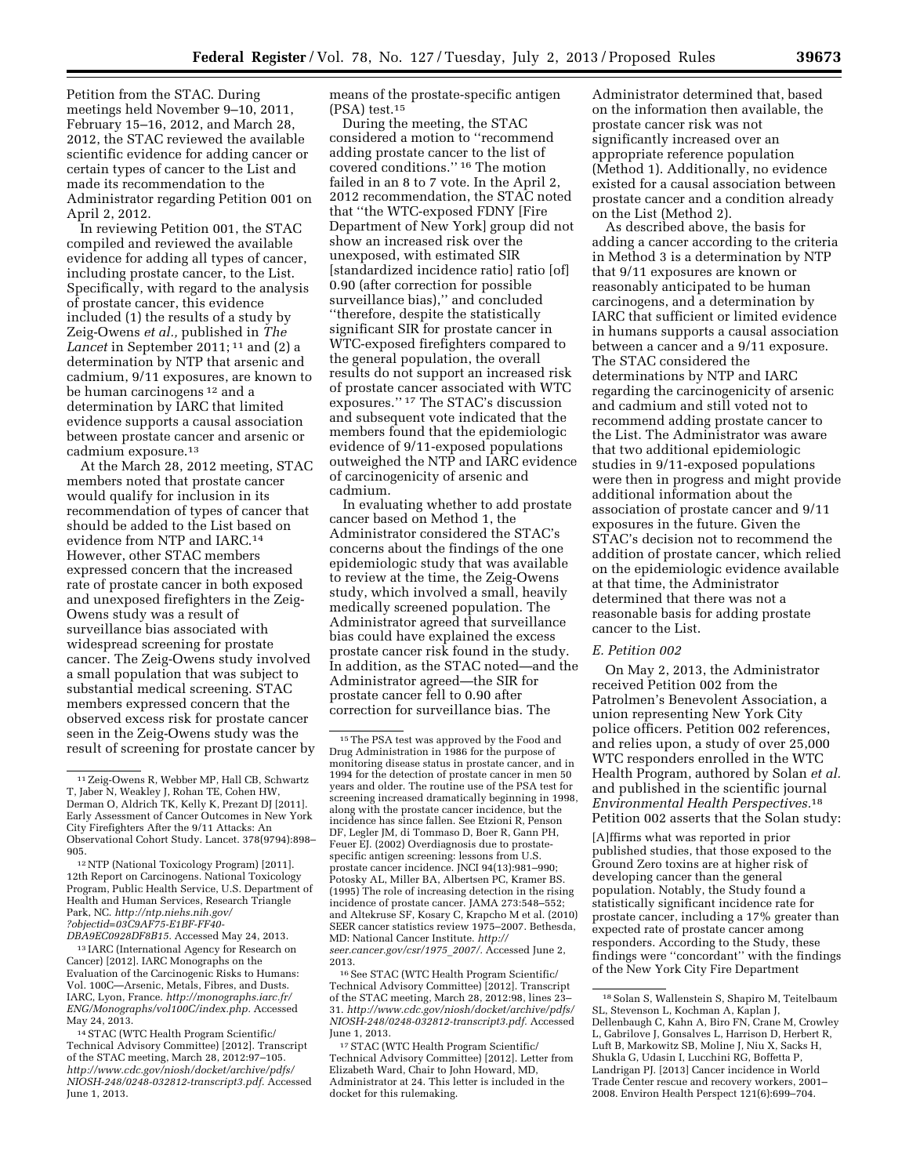Petition from the STAC. During meetings held November 9–10, 2011, February 15–16, 2012, and March 28, 2012, the STAC reviewed the available scientific evidence for adding cancer or certain types of cancer to the List and made its recommendation to the Administrator regarding Petition 001 on April 2, 2012.

In reviewing Petition 001, the STAC compiled and reviewed the available evidence for adding all types of cancer, including prostate cancer, to the List. Specifically, with regard to the analysis of prostate cancer, this evidence included (1) the results of a study by Zeig-Owens *et al.,* published in *The Lancet* in September 2011; 11 and (2) a determination by NTP that arsenic and cadmium, 9/11 exposures, are known to be human carcinogens 12 and a determination by IARC that limited evidence supports a causal association between prostate cancer and arsenic or cadmium exposure.13

At the March 28, 2012 meeting, STAC members noted that prostate cancer would qualify for inclusion in its recommendation of types of cancer that should be added to the List based on evidence from NTP and IARC.14 However, other STAC members expressed concern that the increased rate of prostate cancer in both exposed and unexposed firefighters in the Zeig-Owens study was a result of surveillance bias associated with widespread screening for prostate cancer. The Zeig-Owens study involved a small population that was subject to substantial medical screening. STAC members expressed concern that the observed excess risk for prostate cancer seen in the Zeig-Owens study was the result of screening for prostate cancer by

13 IARC (International Agency for Research on Cancer) [2012]. IARC Monographs on the Evaluation of the Carcinogenic Risks to Humans: Vol. 100C—Arsenic, Metals, Fibres, and Dusts. IARC, Lyon, France. *[http://monographs.iarc.fr/](http://monographs.iarc.fr/ENG/Monographs/vol100C/index.php)  [ENG/Monographs/vol100C/index.php.](http://monographs.iarc.fr/ENG/Monographs/vol100C/index.php)* Accessed May 24, 2013.

14STAC (WTC Health Program Scientific/ Technical Advisory Committee) [2012]. Transcript of the STAC meeting, March 28, 2012:97–105. *[http://www.cdc.gov/niosh/docket/archive/pdfs/](http://www.cdc.gov/niosh/docket/archive/pdfs/NIOSH-248/0248-032812-transcript3.pdf) [NIOSH-248/0248-032812-transcript3.pdf.](http://www.cdc.gov/niosh/docket/archive/pdfs/NIOSH-248/0248-032812-transcript3.pdf)* Accessed June 1, 2013.

means of the prostate-specific antigen (PSA) test.15

During the meeting, the STAC considered a motion to ''recommend adding prostate cancer to the list of covered conditions.'' 16 The motion failed in an 8 to 7 vote. In the April 2, 2012 recommendation, the STAC noted that ''the WTC-exposed FDNY [Fire Department of New York] group did not show an increased risk over the unexposed, with estimated SIR [standardized incidence ratio] ratio [of] 0.90 (after correction for possible surveillance bias)," and concluded ''therefore, despite the statistically significant SIR for prostate cancer in WTC-exposed firefighters compared to the general population, the overall results do not support an increased risk of prostate cancer associated with WTC exposures.'' 17 The STAC's discussion and subsequent vote indicated that the members found that the epidemiologic evidence of 9/11-exposed populations outweighed the NTP and IARC evidence of carcinogenicity of arsenic and cadmium.

In evaluating whether to add prostate cancer based on Method 1, the Administrator considered the STAC's concerns about the findings of the one epidemiologic study that was available to review at the time, the Zeig-Owens study, which involved a small, heavily medically screened population. The Administrator agreed that surveillance bias could have explained the excess prostate cancer risk found in the study. In addition, as the STAC noted—and the Administrator agreed—the SIR for prostate cancer fell to 0.90 after correction for surveillance bias. The

16See STAC (WTC Health Program Scientific/ Technical Advisory Committee) [2012]. Transcript of the STAC meeting, March 28, 2012:98, lines 23– 31. *[http://www.cdc.gov/niosh/docket/archive/pdfs/](http://www.cdc.gov/niosh/docket/archive/pdfs/NIOSH-248/0248-032812-transcript3.pdf)  [NIOSH-248/0248-032812-transcript3.pdf.](http://www.cdc.gov/niosh/docket/archive/pdfs/NIOSH-248/0248-032812-transcript3.pdf)* Accessed June 1, 2013.

17STAC (WTC Health Program Scientific/ Technical Advisory Committee) [2012]. Letter from Elizabeth Ward, Chair to John Howard, MD, Administrator at 24. This letter is included in the docket for this rulemaking.

Administrator determined that, based on the information then available, the prostate cancer risk was not significantly increased over an appropriate reference population (Method 1). Additionally, no evidence existed for a causal association between prostate cancer and a condition already on the List (Method 2).

As described above, the basis for adding a cancer according to the criteria in Method 3 is a determination by NTP that 9/11 exposures are known or reasonably anticipated to be human carcinogens, and a determination by IARC that sufficient or limited evidence in humans supports a causal association between a cancer and a 9/11 exposure. The STAC considered the determinations by NTP and IARC regarding the carcinogenicity of arsenic and cadmium and still voted not to recommend adding prostate cancer to the List. The Administrator was aware that two additional epidemiologic studies in 9/11-exposed populations were then in progress and might provide additional information about the association of prostate cancer and 9/11 exposures in the future. Given the STAC's decision not to recommend the addition of prostate cancer, which relied on the epidemiologic evidence available at that time, the Administrator determined that there was not a reasonable basis for adding prostate cancer to the List.

## *E. Petition 002*

On May 2, 2013, the Administrator received Petition 002 from the Patrolmen's Benevolent Association, a union representing New York City police officers. Petition 002 references, and relies upon, a study of over 25,000 WTC responders enrolled in the WTC Health Program, authored by Solan *et al.*  and published in the scientific journal *Environmental Health Perspectives.*18 Petition 002 asserts that the Solan study:

[A]ffirms what was reported in prior published studies, that those exposed to the Ground Zero toxins are at higher risk of developing cancer than the general population. Notably, the Study found a statistically significant incidence rate for prostate cancer, including a 17% greater than expected rate of prostate cancer among responders. According to the Study, these findings were ''concordant'' with the findings of the New York City Fire Department

<sup>11</sup>Zeig-Owens R, Webber MP, Hall CB, Schwartz T, Jaber N, Weakley J, Rohan TE, Cohen HW, Derman O, Aldrich TK, Kelly K, Prezant DJ [2011]. Early Assessment of Cancer Outcomes in New York City Firefighters After the 9/11 Attacks: An Observational Cohort Study. Lancet. 378(9794):898– 905.

<sup>12</sup>NTP (National Toxicology Program) [2011]. 12th Report on Carcinogens. National Toxicology Program, Public Health Service, U.S. Department of Health and Human Services, Research Triangle Park, NC. *[http://ntp.niehs.nih.gov/](http://ntp.niehs.nih.gov/?objectid=03C9AF75-E1BF-FF40-DBA9EC0928DF8B15) [?objectid=03C9AF75-E1BF-FF40-](http://ntp.niehs.nih.gov/?objectid=03C9AF75-E1BF-FF40-DBA9EC0928DF8B15) [DBA9EC0928DF8B15.](http://ntp.niehs.nih.gov/?objectid=03C9AF75-E1BF-FF40-DBA9EC0928DF8B15)* Accessed May 24, 2013.

<sup>15</sup>The PSA test was approved by the Food and Drug Administration in 1986 for the purpose of monitoring disease status in prostate cancer, and in 1994 for the detection of prostate cancer in men 50 years and older. The routine use of the PSA test for screening increased dramatically beginning in 1998, along with the prostate cancer incidence, but the incidence has since fallen. See Etzioni R, Penson DF, Legler JM, di Tommaso D, Boer R, Gann PH, Feuer EJ. (2002) Overdiagnosis due to prostatespecific antigen screening: lessons from U.S. prostate cancer incidence. JNCI 94(13):981–990; Potosky AL, Miller BA, Albertsen PC, Kramer BS. (1995) The role of increasing detection in the rising incidence of prostate cancer. JAMA 273:548–552; and Altekruse SF, Kosary C, Krapcho M et al. (2010) SEER cancer statistics review 1975–2007. Bethesda, MD: National Cancer Institute. *[http://](http://seer.cancer.gov/csr/1975_2007/) [seer.cancer.gov/csr/1975](http://seer.cancer.gov/csr/1975_2007/)*\_*2007/.* Accessed June 2, 2013.

<sup>18</sup>Solan S, Wallenstein S, Shapiro M, Teitelbaum SL, Stevenson L, Kochman A, Kaplan J, Dellenbaugh C, Kahn A, Biro FN, Crane M, Crowley L, Gabrilove J, Gonsalves L, Harrison D, Herbert R, Luft B, Markowitz SB, Moline J, Niu X, Sacks H, Shukla G, Udasin I, Lucchini RG, Boffetta P, Landrigan PJ. [2013] Cancer incidence in World Trade Center rescue and recovery workers, 2001– 2008. Environ Health Perspect 121(6):699–704.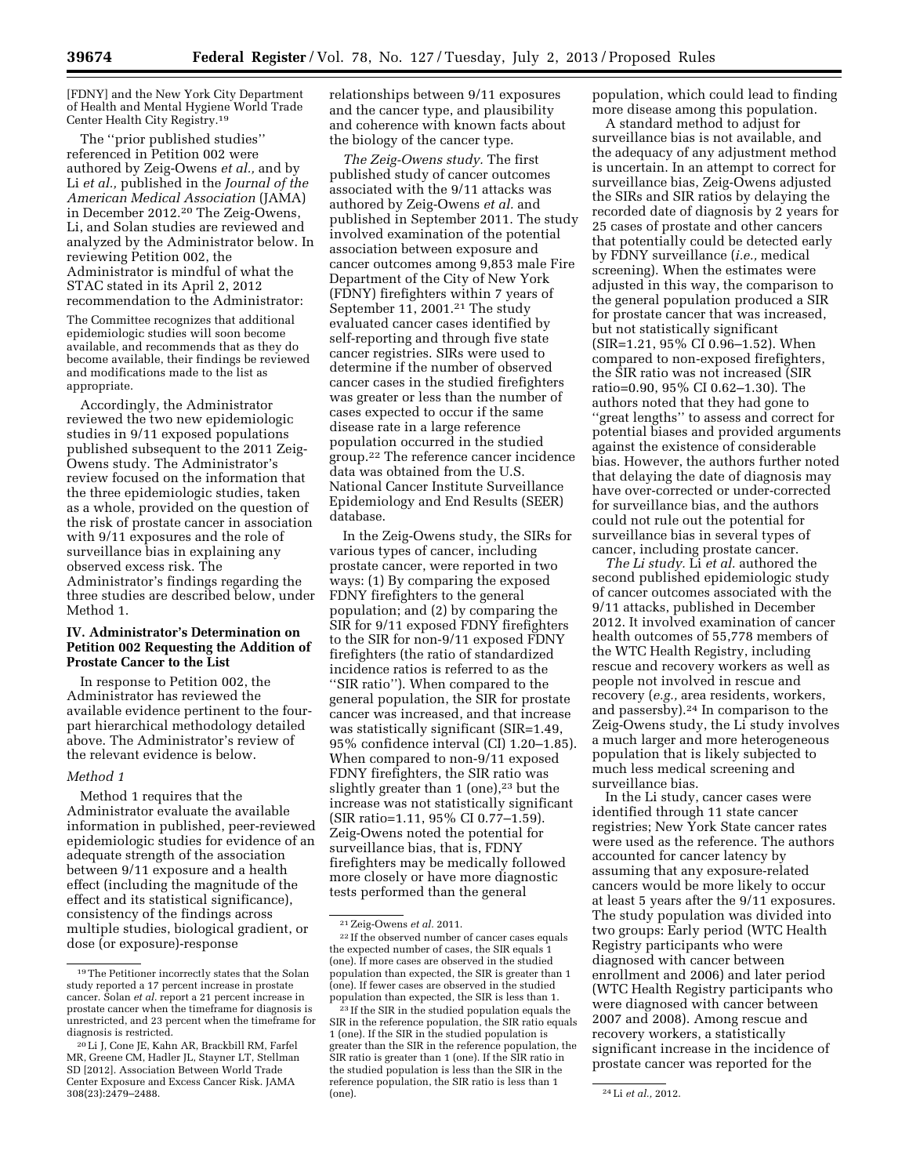[FDNY] and the New York City Department of Health and Mental Hygiene World Trade Center Health City Registry.19

The ''prior published studies'' referenced in Petition 002 were authored by Zeig-Owens *et al.,* and by Li *et al.,* published in the *Journal of the American Medical Association* (JAMA) in December 2012.20 The Zeig-Owens, Li, and Solan studies are reviewed and analyzed by the Administrator below. In reviewing Petition 002, the Administrator is mindful of what the STAC stated in its April 2, 2012 recommendation to the Administrator:

The Committee recognizes that additional epidemiologic studies will soon become available, and recommends that as they do become available, their findings be reviewed and modifications made to the list as appropriate.

Accordingly, the Administrator reviewed the two new epidemiologic studies in 9/11 exposed populations published subsequent to the 2011 Zeig-Owens study. The Administrator's review focused on the information that the three epidemiologic studies, taken as a whole, provided on the question of the risk of prostate cancer in association with 9/11 exposures and the role of surveillance bias in explaining any observed excess risk. The Administrator's findings regarding the three studies are described below, under Method 1.

# **IV. Administrator's Determination on Petition 002 Requesting the Addition of Prostate Cancer to the List**

In response to Petition 002, the Administrator has reviewed the available evidence pertinent to the fourpart hierarchical methodology detailed above. The Administrator's review of the relevant evidence is below.

## *Method 1*

Method 1 requires that the Administrator evaluate the available information in published, peer-reviewed epidemiologic studies for evidence of an adequate strength of the association between 9/11 exposure and a health effect (including the magnitude of the effect and its statistical significance), consistency of the findings across multiple studies, biological gradient, or dose (or exposure)-response

relationships between 9/11 exposures and the cancer type, and plausibility and coherence with known facts about the biology of the cancer type.

*The Zeig-Owens study.* The first published study of cancer outcomes associated with the 9/11 attacks was authored by Zeig-Owens *et al.* and published in September 2011. The study involved examination of the potential association between exposure and cancer outcomes among 9,853 male Fire Department of the City of New York (FDNY) firefighters within 7 years of September 11, 2001.<sup>21</sup> The study evaluated cancer cases identified by self-reporting and through five state cancer registries. SIRs were used to determine if the number of observed cancer cases in the studied firefighters was greater or less than the number of cases expected to occur if the same disease rate in a large reference population occurred in the studied group.22 The reference cancer incidence data was obtained from the U.S. National Cancer Institute Surveillance Epidemiology and End Results (SEER) database.

In the Zeig-Owens study, the SIRs for various types of cancer, including prostate cancer, were reported in two ways: (1) By comparing the exposed FDNY firefighters to the general population; and (2) by comparing the SIR for 9/11 exposed FDNY firefighters to the SIR for non-9/11 exposed FDNY firefighters (the ratio of standardized incidence ratios is referred to as the ''SIR ratio''). When compared to the general population, the SIR for prostate cancer was increased, and that increase was statistically significant (SIR=1.49, 95% confidence interval (CI) 1.20–1.85). When compared to non-9/11 exposed FDNY firefighters, the SIR ratio was slightly greater than  $1$  (one),<sup>23</sup> but the increase was not statistically significant (SIR ratio=1.11, 95% CI 0.77–1.59). Zeig-Owens noted the potential for surveillance bias, that is, FDNY firefighters may be medically followed more closely or have more diagnostic tests performed than the general

population, which could lead to finding more disease among this population.

A standard method to adjust for surveillance bias is not available, and the adequacy of any adjustment method is uncertain. In an attempt to correct for surveillance bias, Zeig-Owens adjusted the SIRs and SIR ratios by delaying the recorded date of diagnosis by 2 years for 25 cases of prostate and other cancers that potentially could be detected early by FDNY surveillance (*i.e.,* medical screening). When the estimates were adjusted in this way, the comparison to the general population produced a SIR for prostate cancer that was increased, but not statistically significant (SIR=1.21, 95% CI 0.96–1.52). When compared to non-exposed firefighters, the SIR ratio was not increased (SIR ratio=0.90, 95% CI 0.62–1.30). The authors noted that they had gone to ''great lengths'' to assess and correct for potential biases and provided arguments against the existence of considerable bias. However, the authors further noted that delaying the date of diagnosis may have over-corrected or under-corrected for surveillance bias, and the authors could not rule out the potential for surveillance bias in several types of cancer, including prostate cancer.

*The Li study.* Li *et al.* authored the second published epidemiologic study of cancer outcomes associated with the 9/11 attacks, published in December 2012. It involved examination of cancer health outcomes of 55,778 members of the WTC Health Registry, including rescue and recovery workers as well as people not involved in rescue and recovery (*e.g.,* area residents, workers, and passersby).24 In comparison to the Zeig-Owens study, the Li study involves a much larger and more heterogeneous population that is likely subjected to much less medical screening and surveillance bias.

In the Li study, cancer cases were identified through 11 state cancer registries; New York State cancer rates were used as the reference. The authors accounted for cancer latency by assuming that any exposure-related cancers would be more likely to occur at least 5 years after the 9/11 exposures. The study population was divided into two groups: Early period (WTC Health Registry participants who were diagnosed with cancer between enrollment and 2006) and later period (WTC Health Registry participants who were diagnosed with cancer between 2007 and 2008). Among rescue and recovery workers, a statistically significant increase in the incidence of prostate cancer was reported for the

<sup>19</sup>The Petitioner incorrectly states that the Solan study reported a 17 percent increase in prostate cancer. Solan *et al.* report a 21 percent increase in prostate cancer when the timeframe for diagnosis is unrestricted, and 23 percent when the timeframe for diagnosis is restricted.

<sup>20</sup>Li J, Cone JE, Kahn AR, Brackbill RM, Farfel MR, Greene CM, Hadler JL, Stayner LT, Stellman SD [2012]. Association Between World Trade Center Exposure and Excess Cancer Risk. JAMA 308(23):2479–2488.

<sup>21</sup>Zeig-Owens *et al.* 2011.

<sup>22</sup> If the observed number of cancer cases equals the expected number of cases, the SIR equals 1 (one). If more cases are observed in the studied population than expected, the SIR is greater than 1 (one). If fewer cases are observed in the studied population than expected, the SIR is less than 1.

<sup>23</sup> If the SIR in the studied population equals the SIR in the reference population, the SIR ratio equals 1 (one). If the SIR in the studied population is greater than the SIR in the reference population, the SIR ratio is greater than 1 (one). If the SIR ratio in the studied population is less than the SIR in the reference population, the SIR ratio is less than 1 (one). 24Li *et al.,* 2012.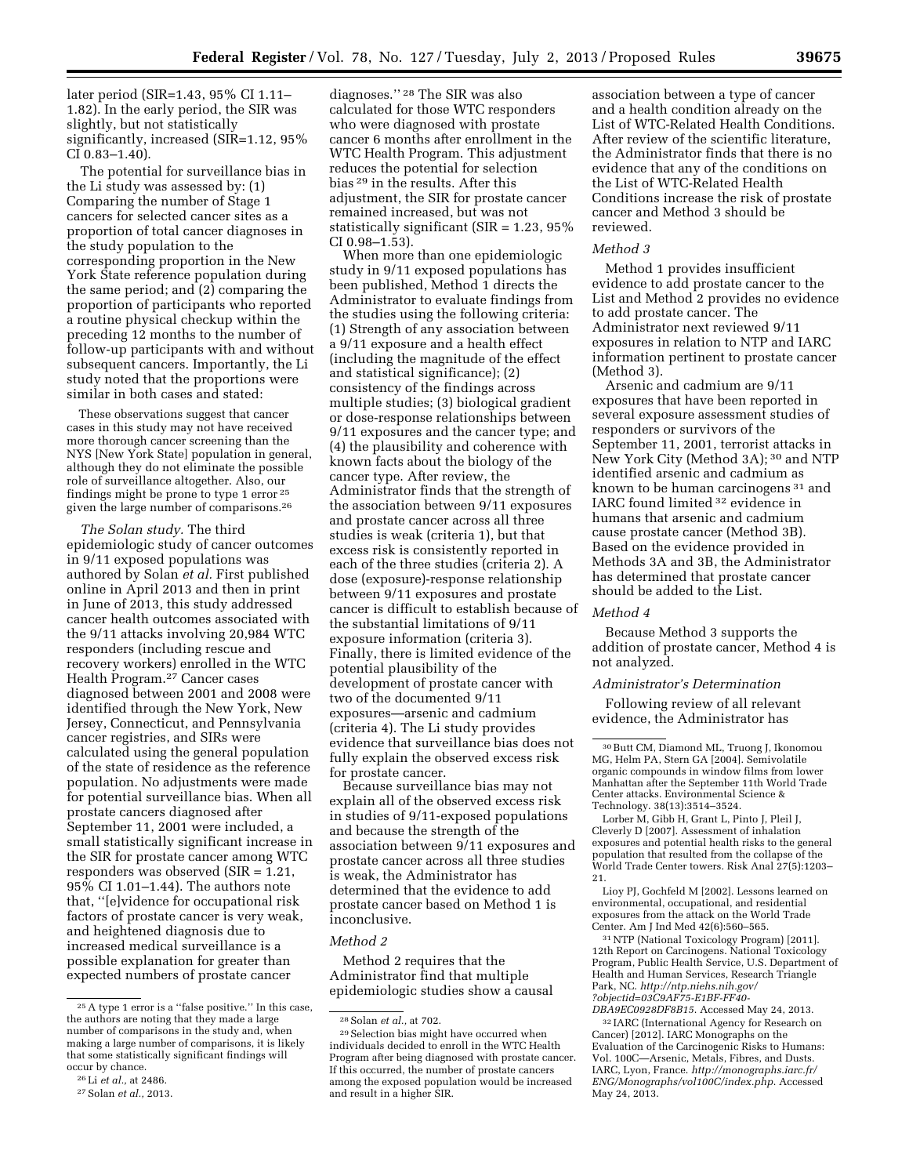later period (SIR=1.43, 95% CI 1.11– 1.82). In the early period, the SIR was slightly, but not statistically significantly, increased (SIR=1.12, 95% CI 0.83–1.40).

The potential for surveillance bias in the Li study was assessed by: (1) Comparing the number of Stage 1 cancers for selected cancer sites as a proportion of total cancer diagnoses in the study population to the corresponding proportion in the New York State reference population during the same period; and (2) comparing the proportion of participants who reported a routine physical checkup within the preceding 12 months to the number of follow-up participants with and without subsequent cancers. Importantly, the Li study noted that the proportions were similar in both cases and stated:

These observations suggest that cancer cases in this study may not have received more thorough cancer screening than the NYS [New York State] population in general, although they do not eliminate the possible role of surveillance altogether. Also, our findings might be prone to type 1 error 25 given the large number of comparisons.26

*The Solan study.* The third epidemiologic study of cancer outcomes in 9/11 exposed populations was authored by Solan *et al.* First published online in April 2013 and then in print in June of 2013, this study addressed cancer health outcomes associated with the 9/11 attacks involving 20,984 WTC responders (including rescue and recovery workers) enrolled in the WTC Health Program.27 Cancer cases diagnosed between 2001 and 2008 were identified through the New York, New Jersey, Connecticut, and Pennsylvania cancer registries, and SIRs were calculated using the general population of the state of residence as the reference population. No adjustments were made for potential surveillance bias. When all prostate cancers diagnosed after September 11, 2001 were included, a small statistically significant increase in the SIR for prostate cancer among WTC responders was observed (SIR = 1.21, 95% CI 1.01–1.44). The authors note that, ''[e]vidence for occupational risk factors of prostate cancer is very weak, and heightened diagnosis due to increased medical surveillance is a possible explanation for greater than expected numbers of prostate cancer

diagnoses.'' 28 The SIR was also calculated for those WTC responders who were diagnosed with prostate cancer 6 months after enrollment in the WTC Health Program. This adjustment reduces the potential for selection bias 29 in the results. After this adjustment, the SIR for prostate cancer remained increased, but was not statistically significant (SIR = 1.23, 95% CI 0.98–1.53).

When more than one epidemiologic study in 9/11 exposed populations has been published, Method 1 directs the Administrator to evaluate findings from the studies using the following criteria: (1) Strength of any association between a 9/11 exposure and a health effect (including the magnitude of the effect and statistical significance); (2) consistency of the findings across multiple studies; (3) biological gradient or dose-response relationships between 9/11 exposures and the cancer type; and (4) the plausibility and coherence with known facts about the biology of the cancer type. After review, the Administrator finds that the strength of the association between 9/11 exposures and prostate cancer across all three studies is weak (criteria 1), but that excess risk is consistently reported in each of the three studies (criteria 2). A dose (exposure)-response relationship between 9/11 exposures and prostate cancer is difficult to establish because of the substantial limitations of 9/11 exposure information (criteria 3). Finally, there is limited evidence of the potential plausibility of the development of prostate cancer with two of the documented 9/11 exposures—arsenic and cadmium (criteria 4). The Li study provides evidence that surveillance bias does not fully explain the observed excess risk for prostate cancer.

Because surveillance bias may not explain all of the observed excess risk in studies of 9/11-exposed populations and because the strength of the association between 9/11 exposures and prostate cancer across all three studies is weak, the Administrator has determined that the evidence to add prostate cancer based on Method 1 is inconclusive.

#### *Method 2*

Method 2 requires that the Administrator find that multiple epidemiologic studies show a causal

association between a type of cancer and a health condition already on the List of WTC-Related Health Conditions. After review of the scientific literature, the Administrator finds that there is no evidence that any of the conditions on the List of WTC-Related Health Conditions increase the risk of prostate cancer and Method 3 should be reviewed.

#### *Method 3*

Method 1 provides insufficient evidence to add prostate cancer to the List and Method 2 provides no evidence to add prostate cancer. The Administrator next reviewed 9/11 exposures in relation to NTP and IARC information pertinent to prostate cancer (Method 3).

Arsenic and cadmium are 9/11 exposures that have been reported in several exposure assessment studies of responders or survivors of the September 11, 2001, terrorist attacks in New York City (Method 3A); 30 and NTP identified arsenic and cadmium as known to be human carcinogens 31 and IARC found limited 32 evidence in humans that arsenic and cadmium cause prostate cancer (Method 3B). Based on the evidence provided in Methods 3A and 3B, the Administrator has determined that prostate cancer should be added to the List.

#### *Method 4*

Because Method 3 supports the addition of prostate cancer, Method 4 is not analyzed.

*Administrator's Determination* 

Following review of all relevant evidence, the Administrator has

Lorber M, Gibb H, Grant L, Pinto J, Pleil J, Cleverly D [2007]. Assessment of inhalation exposures and potential health risks to the general population that resulted from the collapse of the World Trade Center towers. Risk Anal 27(5):1203– 21.

Lioy PJ, Gochfeld M [2002]. Lessons learned on environmental, occupational, and residential exposures from the attack on the World Trade Center. Am J Ind Med 42(6):560–565.

31NTP (National Toxicology Program) [2011]. 12th Report on Carcinogens. National Toxicology Program, Public Health Service, U.S. Department of Health and Human Services, Research Triangle Park, NC. *[http://ntp.niehs.nih.gov/](http://ntp.niehs.nih.gov/?objectid=03C9AF75-E1BF-FF40-DBA9EC0928DF8B15) [?objectid=03C9AF75-E1BF-FF40-](http://ntp.niehs.nih.gov/?objectid=03C9AF75-E1BF-FF40-DBA9EC0928DF8B15) [DBA9EC0928DF8B15](http://ntp.niehs.nih.gov/?objectid=03C9AF75-E1BF-FF40-DBA9EC0928DF8B15)*. Accessed May 24, 2013.

32 IARC (International Agency for Research on Cancer) [2012]. IARC Monographs on the Evaluation of the Carcinogenic Risks to Humans: Vol. 100C—Arsenic, Metals, Fibres, and Dusts. IARC, Lyon, France. *[http://monographs.iarc.fr/](http://monographs.iarc.fr/ENG/Monographs/vol100C/index.php)  [ENG/Monographs/vol100C/index.php](http://monographs.iarc.fr/ENG/Monographs/vol100C/index.php)*. Accessed May 24, 2013.

<sup>25</sup>A type 1 error is a ''false positive.'' In this case, the authors are noting that they made a large number of comparisons in the study and, when making a large number of comparisons, it is likely that some statistically significant findings will occur by chance.

<sup>26</sup>Li *et al.,* at 2486.

<sup>27</sup>Solan *et al.,* 2013.

<sup>28</sup>Solan *et al.,* at 702.

<sup>29</sup>Selection bias might have occurred when individuals decided to enroll in the WTC Health Program after being diagnosed with prostate cancer. If this occurred, the number of prostate cancers among the exposed population would be increased and result in a higher SIR.

<sup>30</sup>Butt CM, Diamond ML, Truong J, Ikonomou MG, Helm PA, Stern GA [2004]. Semivolatile organic compounds in window films from lower Manhattan after the September 11th World Trade Center attacks. Environmental Science & Technology. 38(13):3514–3524.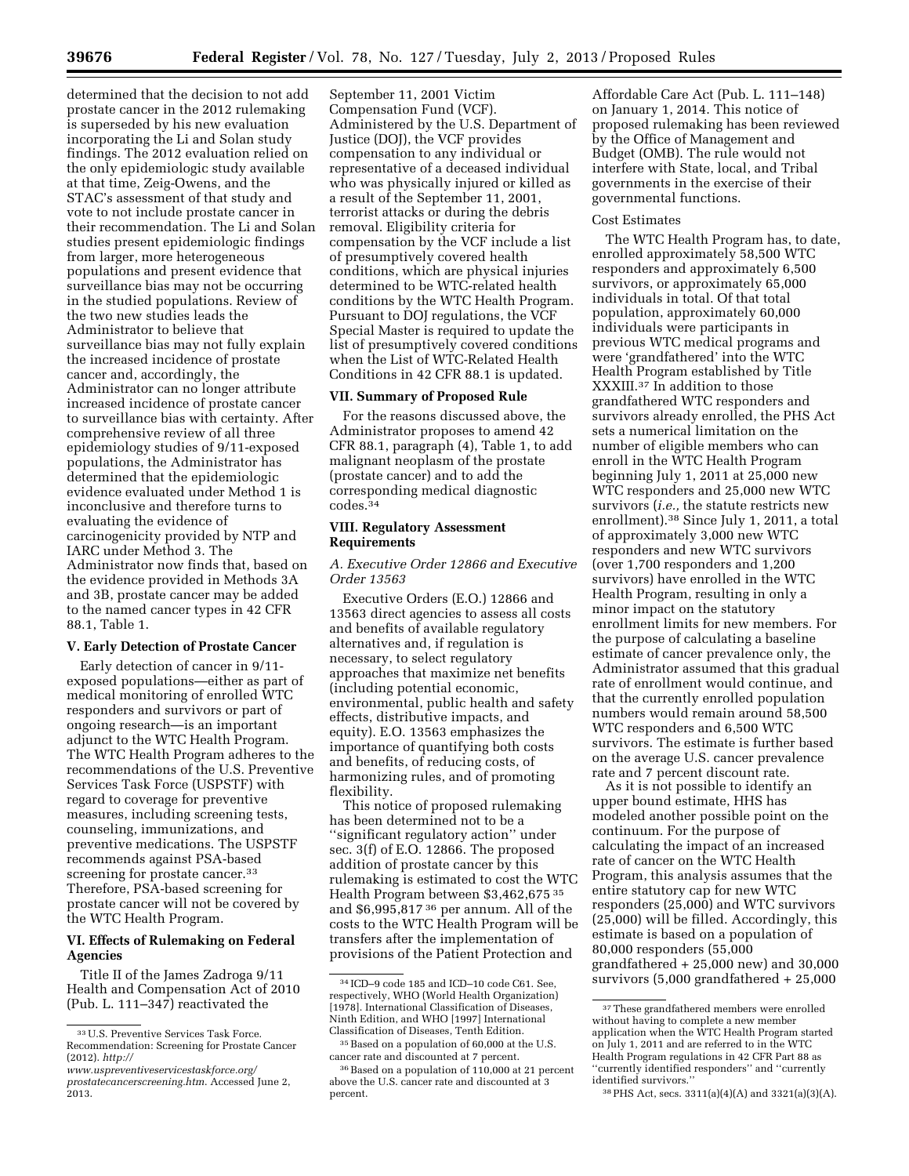determined that the decision to not add prostate cancer in the 2012 rulemaking is superseded by his new evaluation incorporating the Li and Solan study findings. The 2012 evaluation relied on the only epidemiologic study available at that time, Zeig-Owens, and the STAC's assessment of that study and vote to not include prostate cancer in their recommendation. The Li and Solan studies present epidemiologic findings from larger, more heterogeneous populations and present evidence that surveillance bias may not be occurring in the studied populations. Review of the two new studies leads the Administrator to believe that surveillance bias may not fully explain the increased incidence of prostate cancer and, accordingly, the Administrator can no longer attribute increased incidence of prostate cancer to surveillance bias with certainty. After comprehensive review of all three epidemiology studies of 9/11-exposed populations, the Administrator has determined that the epidemiologic evidence evaluated under Method 1 is inconclusive and therefore turns to evaluating the evidence of carcinogenicity provided by NTP and IARC under Method 3. The Administrator now finds that, based on the evidence provided in Methods 3A and 3B, prostate cancer may be added to the named cancer types in 42 CFR 88.1, Table 1.

# **V. Early Detection of Prostate Cancer**

Early detection of cancer in 9/11 exposed populations—either as part of medical monitoring of enrolled WTC responders and survivors or part of ongoing research—is an important adjunct to the WTC Health Program. The WTC Health Program adheres to the recommendations of the U.S. Preventive Services Task Force (USPSTF) with regard to coverage for preventive measures, including screening tests, counseling, immunizations, and preventive medications. The USPSTF recommends against PSA-based screening for prostate cancer.<sup>33</sup> Therefore, PSA-based screening for prostate cancer will not be covered by the WTC Health Program.

# **VI. Effects of Rulemaking on Federal Agencies**

Title II of the James Zadroga 9/11 Health and Compensation Act of 2010 (Pub. L. 111–347) reactivated the

September 11, 2001 Victim Compensation Fund (VCF). Administered by the U.S. Department of Justice (DOJ), the VCF provides compensation to any individual or representative of a deceased individual who was physically injured or killed as a result of the September 11, 2001, terrorist attacks or during the debris removal. Eligibility criteria for compensation by the VCF include a list of presumptively covered health conditions, which are physical injuries determined to be WTC-related health conditions by the WTC Health Program. Pursuant to DOJ regulations, the VCF Special Master is required to update the list of presumptively covered conditions when the List of WTC-Related Health Conditions in 42 CFR 88.1 is updated.

# **VII. Summary of Proposed Rule**

For the reasons discussed above, the Administrator proposes to amend 42 CFR 88.1, paragraph (4), Table 1, to add malignant neoplasm of the prostate (prostate cancer) and to add the corresponding medical diagnostic codes.34

# **VIII. Regulatory Assessment Requirements**

# *A. Executive Order 12866 and Executive Order 13563*

Executive Orders (E.O.) 12866 and 13563 direct agencies to assess all costs and benefits of available regulatory alternatives and, if regulation is necessary, to select regulatory approaches that maximize net benefits (including potential economic, environmental, public health and safety effects, distributive impacts, and equity). E.O. 13563 emphasizes the importance of quantifying both costs and benefits, of reducing costs, of harmonizing rules, and of promoting flexibility.

This notice of proposed rulemaking has been determined not to be a ''significant regulatory action'' under sec. 3(f) of E.O. 12866. The proposed addition of prostate cancer by this rulemaking is estimated to cost the WTC Health Program between \$3,462,675 35 and \$6,995,817 36 per annum. All of the costs to the WTC Health Program will be transfers after the implementation of provisions of the Patient Protection and

Affordable Care Act (Pub. L. 111–148) on January 1, 2014. This notice of proposed rulemaking has been reviewed by the Office of Management and Budget (OMB). The rule would not interfere with State, local, and Tribal governments in the exercise of their governmental functions.

# Cost Estimates

The WTC Health Program has, to date, enrolled approximately 58,500 WTC responders and approximately 6,500 survivors, or approximately 65,000 individuals in total. Of that total population, approximately 60,000 individuals were participants in previous WTC medical programs and were 'grandfathered' into the WTC Health Program established by Title XXXIII.37 In addition to those grandfathered WTC responders and survivors already enrolled, the PHS Act sets a numerical limitation on the number of eligible members who can enroll in the WTC Health Program beginning July 1, 2011 at 25,000 new WTC responders and 25,000 new WTC survivors (*i.e.,* the statute restricts new enrollment).38 Since July 1, 2011, a total of approximately 3,000 new WTC responders and new WTC survivors (over 1,700 responders and 1,200 survivors) have enrolled in the WTC Health Program, resulting in only a minor impact on the statutory enrollment limits for new members. For the purpose of calculating a baseline estimate of cancer prevalence only, the Administrator assumed that this gradual rate of enrollment would continue, and that the currently enrolled population numbers would remain around 58,500 WTC responders and 6,500 WTC survivors. The estimate is further based on the average U.S. cancer prevalence rate and 7 percent discount rate.

As it is not possible to identify an upper bound estimate, HHS has modeled another possible point on the continuum. For the purpose of calculating the impact of an increased rate of cancer on the WTC Health Program, this analysis assumes that the entire statutory cap for new WTC responders (25,000) and WTC survivors (25,000) will be filled. Accordingly, this estimate is based on a population of 80,000 responders (55,000 grandfathered  $+25,000$  new) and  $30,000$ survivors (5,000 grandfathered + 25,000

<sup>33</sup>U.S. Preventive Services Task Force. Recommendation: Screening for Prostate Cancer (2012). *[http://](http://www.uspreventiveservicestaskforce.org/prostatecancerscreening.htm)* 

*[www.uspreventiveservicestaskforce.org/](http://www.uspreventiveservicestaskforce.org/prostatecancerscreening.htm) [prostatecancerscreening.htm](http://www.uspreventiveservicestaskforce.org/prostatecancerscreening.htm)*. Accessed June 2, 2013.

<sup>34</sup> ICD–9 code 185 and ICD–10 code C61. See, respectively, WHO (World Health Organization) [1978]. International Classification of Diseases, Ninth Edition, and WHO [1997] International Classification of Diseases, Tenth Edition.

<sup>35</sup>Based on a population of 60,000 at the U.S. cancer rate and discounted at 7 percent.

<sup>36</sup>Based on a population of 110,000 at 21 percent above the U.S. cancer rate and discounted at 3 percent.

<sup>37</sup>These grandfathered members were enrolled without having to complete a new member application when the WTC Health Program started on July 1, 2011 and are referred to in the WTC Health Program regulations in 42 CFR Part 88 as ''currently identified responders'' and ''currently identified survivors.

<sup>38</sup>PHS Act, secs. 3311(a)(4)(A) and 3321(a)(3)(A).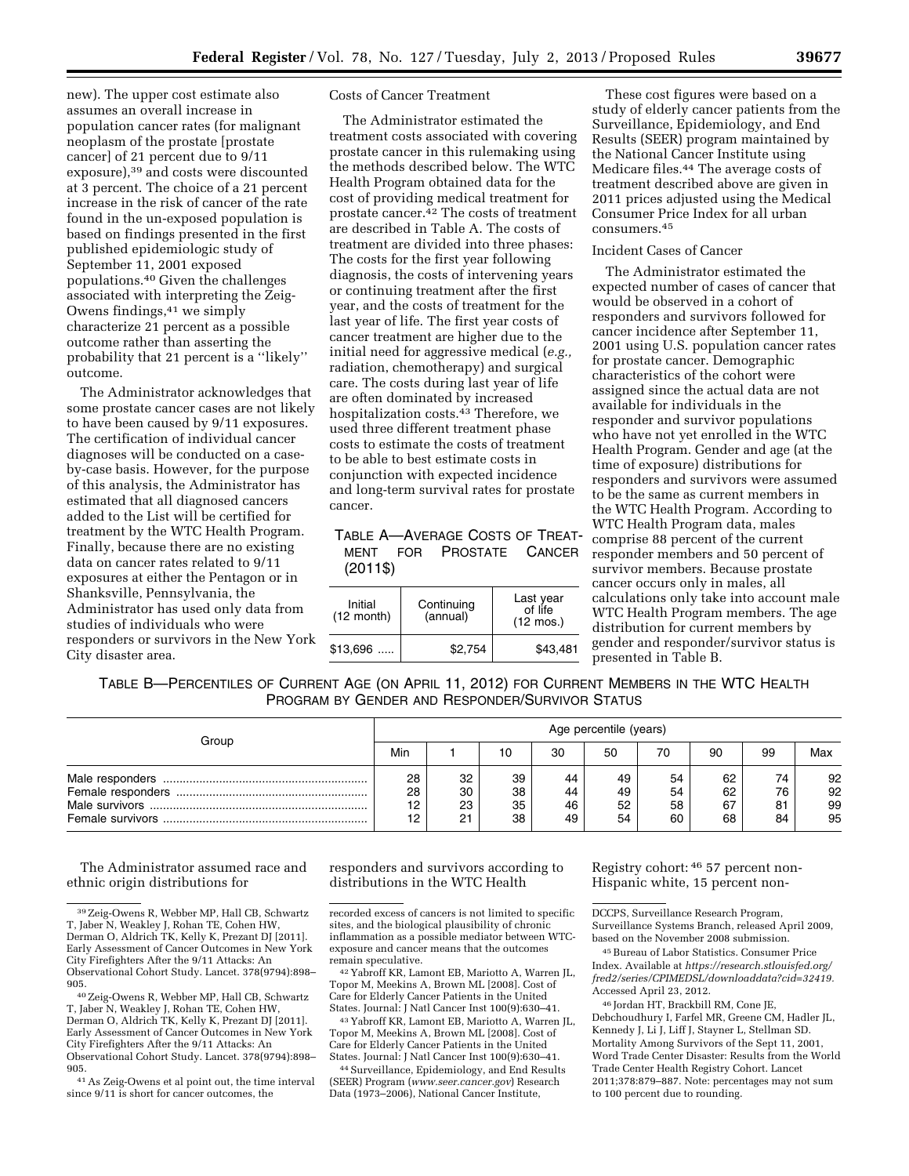new). The upper cost estimate also assumes an overall increase in population cancer rates (for malignant neoplasm of the prostate [prostate cancer] of 21 percent due to 9/11 exposure),39 and costs were discounted at 3 percent. The choice of a 21 percent increase in the risk of cancer of the rate found in the un-exposed population is based on findings presented in the first published epidemiologic study of September 11, 2001 exposed populations.40 Given the challenges associated with interpreting the Zeig-Owens findings,41 we simply characterize 21 percent as a possible outcome rather than asserting the probability that 21 percent is a ''likely'' outcome.

The Administrator acknowledges that some prostate cancer cases are not likely to have been caused by 9/11 exposures. The certification of individual cancer diagnoses will be conducted on a caseby-case basis. However, for the purpose of this analysis, the Administrator has estimated that all diagnosed cancers added to the List will be certified for treatment by the WTC Health Program. Finally, because there are no existing data on cancer rates related to 9/11 exposures at either the Pentagon or in Shanksville, Pennsylvania, the Administrator has used only data from studies of individuals who were responders or survivors in the New York City disaster area.

# Costs of Cancer Treatment

The Administrator estimated the treatment costs associated with covering prostate cancer in this rulemaking using the methods described below. The WTC Health Program obtained data for the cost of providing medical treatment for prostate cancer.42 The costs of treatment are described in Table A. The costs of treatment are divided into three phases: The costs for the first year following diagnosis, the costs of intervening years or continuing treatment after the first year, and the costs of treatment for the last year of life. The first year costs of cancer treatment are higher due to the initial need for aggressive medical (*e.g.,*  radiation, chemotherapy) and surgical care. The costs during last year of life are often dominated by increased hospitalization costs.43 Therefore, we used three different treatment phase costs to estimate the costs of treatment to be able to best estimate costs in conjunction with expected incidence and long-term survival rates for prostate cancer.

|          | TABLE A-AVERAGE COSTS OF TREAT- |  |
|----------|---------------------------------|--|
|          | MENT FOR PROSTATE CANCER        |  |
| $(2011\$ |                                 |  |

| Initial              | Continuing | Last year<br>of life |
|----------------------|------------|----------------------|
| $(12 \text{ month})$ | (annual)   | $(12 \text{ mos.})$  |
| $$13,696$            | \$2.754    | \$43.481             |

These cost figures were based on a study of elderly cancer patients from the Surveillance, Epidemiology, and End Results (SEER) program maintained by the National Cancer Institute using Medicare files.44 The average costs of treatment described above are given in 2011 prices adjusted using the Medical Consumer Price Index for all urban consumers.45

# Incident Cases of Cancer

The Administrator estimated the expected number of cases of cancer that would be observed in a cohort of responders and survivors followed for cancer incidence after September 11, 2001 using U.S. population cancer rates for prostate cancer. Demographic characteristics of the cohort were assigned since the actual data are not available for individuals in the responder and survivor populations who have not yet enrolled in the WTC Health Program. Gender and age (at the time of exposure) distributions for responders and survivors were assumed to be the same as current members in the WTC Health Program. According to WTC Health Program data, males comprise 88 percent of the current responder members and 50 percent of survivor members. Because prostate cancer occurs only in males, all calculations only take into account male WTC Health Program members. The age distribution for current members by gender and responder/survivor status is presented in Table B.

TABLE B—PERCENTILES OF CURRENT AGE (ON APRIL 11, 2012) FOR CURRENT MEMBERS IN THE WTC HEALTH PROGRAM BY GENDER AND RESPONDER/SURVIVOR STATUS

|       | Age percentile (years) |                      |                      |                      |                      |                      |                      |                      |                      |
|-------|------------------------|----------------------|----------------------|----------------------|----------------------|----------------------|----------------------|----------------------|----------------------|
| Group | Min                    |                      | 10                   | 30                   | 50                   | 70                   | 90                   | 99                   | Max                  |
|       | 28<br>28<br>12<br>12   | 32<br>30<br>23<br>21 | 39<br>38<br>35<br>38 | 44<br>44<br>46<br>49 | 49<br>49<br>52<br>54 | 54<br>54<br>58<br>60 | 62<br>62<br>67<br>68 | 74<br>76<br>81<br>84 | 92<br>92<br>99<br>95 |

The Administrator assumed race and ethnic origin distributions for

41As Zeig-Owens et al point out, the time interval since 9/11 is short for cancer outcomes, the

responders and survivors according to distributions in the WTC Health

42 Yabroff KR, Lamont EB, Mariotto A, Warren JL, Topor M, Meekins A, Brown ML [2008]. Cost of Care for Elderly Cancer Patients in the United States. Journal: J Natl Cancer Inst 100(9):630–41.

43 Yabroff KR, Lamont EB, Mariotto A, Warren JL, Topor M, Meekins A, Brown ML [2008]. Cost of Care for Elderly Cancer Patients in the United States. Journal: J Natl Cancer Inst 100(9):630–41.

44Surveillance, Epidemiology, and End Results (SEER) Program (*[www.seer.cancer.gov](http://www.seer.cancer.gov)*) Research Data (1973–2006), National Cancer Institute,

Registry cohort: 46 57 percent non-Hispanic white, 15 percent non-

DCCPS, Surveillance Research Program, Surveillance Systems Branch, released April 2009,

based on the November 2008 submission. 45Bureau of Labor Statistics. Consumer Price Index. Available at *[https://research.stlouisfed.org/](https://research.stlouisfed.org/fred2/series/CPIMEDSL/downloaddata?cid=32419)* 

*[fred2/series/CPIMEDSL/downloaddata?cid=32419.](https://research.stlouisfed.org/fred2/series/CPIMEDSL/downloaddata?cid=32419)*  Accessed April 23, 2012.

46 Jordan HT, Brackbill RM, Cone JE, Debchoudhury I, Farfel MR, Greene CM, Hadler JL, Kennedy J, Li J, Liff J, Stayner L, Stellman SD. Mortality Among Survivors of the Sept 11, 2001, Word Trade Center Disaster: Results from the World Trade Center Health Registry Cohort. Lancet 2011;378:879–887. Note: percentages may not sum to 100 percent due to rounding.

<sup>39</sup>Zeig-Owens R, Webber MP, Hall CB, Schwartz T, Jaber N, Weakley J, Rohan TE, Cohen HW, Derman O, Aldrich TK, Kelly K, Prezant DJ [2011]. Early Assessment of Cancer Outcomes in New York City Firefighters After the 9/11 Attacks: An Observational Cohort Study. Lancet. 378(9794):898– 905.

<sup>40</sup>Zeig-Owens R, Webber MP, Hall CB, Schwartz T, Jaber N, Weakley J, Rohan TE, Cohen HW, Derman O, Aldrich TK, Kelly K, Prezant DJ [2011]. Early Assessment of Cancer Outcomes in New York City Firefighters After the 9/11 Attacks: An Observational Cohort Study. Lancet. 378(9794):898– 905.

recorded excess of cancers is not limited to specific sites, and the biological plausibility of chronic inflammation as a possible mediator between WTCexposure and cancer means that the outcomes remain speculative.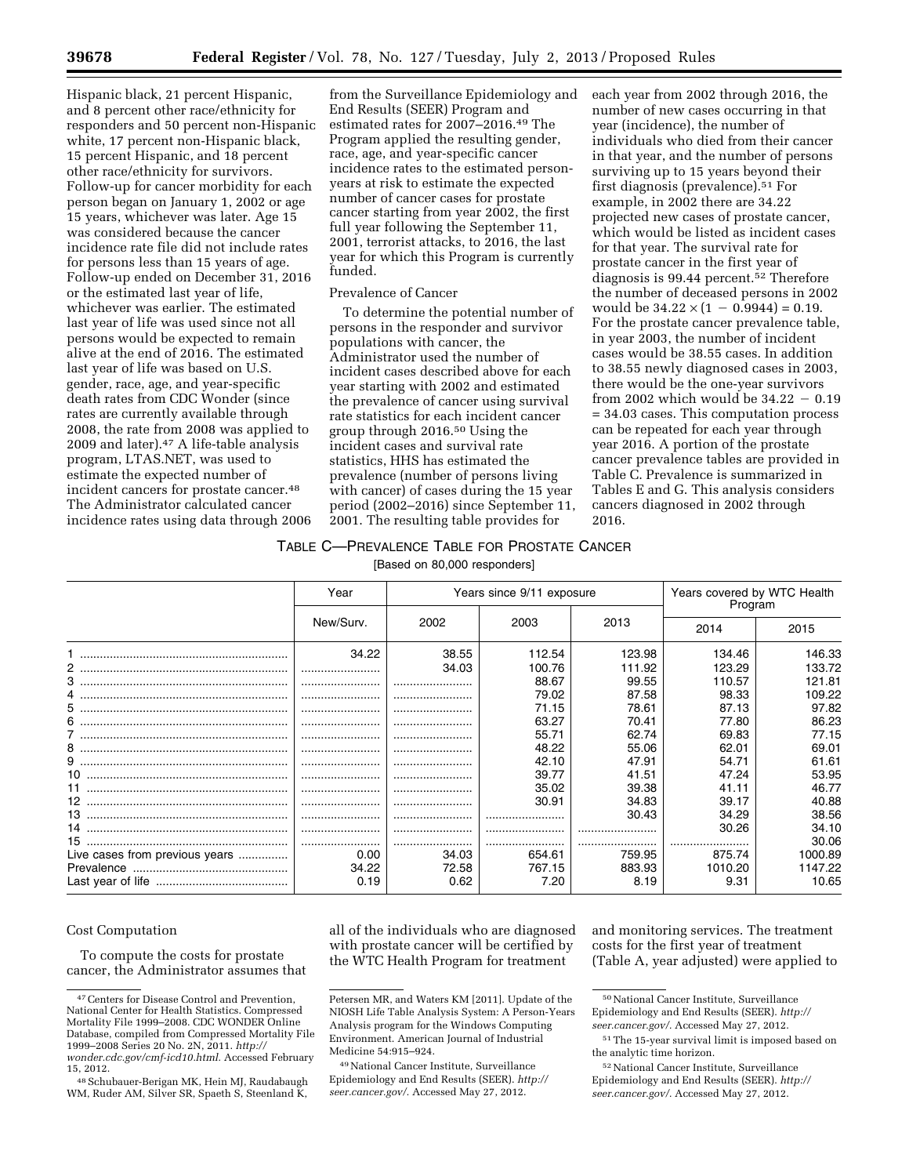Hispanic black, 21 percent Hispanic, and 8 percent other race/ethnicity for responders and 50 percent non-Hispanic white, 17 percent non-Hispanic black, 15 percent Hispanic, and 18 percent other race/ethnicity for survivors. Follow-up for cancer morbidity for each person began on January 1, 2002 or age 15 years, whichever was later. Age 15 was considered because the cancer incidence rate file did not include rates for persons less than 15 years of age. Follow-up ended on December 31, 2016 or the estimated last year of life, whichever was earlier. The estimated last year of life was used since not all persons would be expected to remain alive at the end of 2016. The estimated last year of life was based on U.S. gender, race, age, and year-specific death rates from CDC Wonder (since rates are currently available through 2008, the rate from 2008 was applied to 2009 and later).47 A life-table analysis program, LTAS.NET, was used to estimate the expected number of incident cancers for prostate cancer.48 The Administrator calculated cancer incidence rates using data through 2006

from the Surveillance Epidemiology and End Results (SEER) Program and estimated rates for 2007–2016.49 The Program applied the resulting gender, race, age, and year-specific cancer incidence rates to the estimated personyears at risk to estimate the expected number of cancer cases for prostate cancer starting from year 2002, the first full year following the September 11, 2001, terrorist attacks, to 2016, the last year for which this Program is currently funded.

#### Prevalence of Cancer

To determine the potential number of persons in the responder and survivor populations with cancer, the Administrator used the number of incident cases described above for each year starting with 2002 and estimated the prevalence of cancer using survival rate statistics for each incident cancer group through 2016.50 Using the incident cases and survival rate statistics, HHS has estimated the prevalence (number of persons living with cancer) of cases during the 15 year period (2002–2016) since September 11, 2001. The resulting table provides for

each year from 2002 through 2016, the number of new cases occurring in that year (incidence), the number of individuals who died from their cancer in that year, and the number of persons surviving up to 15 years beyond their first diagnosis (prevalence).51 For example, in 2002 there are 34.22 projected new cases of prostate cancer, which would be listed as incident cases for that year. The survival rate for prostate cancer in the first year of diagnosis is 99.44 percent.52 Therefore the number of deceased persons in 2002 would be  $34.22 \times (1 - 0.9944) = 0.19$ . For the prostate cancer prevalence table, in year 2003, the number of incident cases would be 38.55 cases. In addition to 38.55 newly diagnosed cases in 2003, there would be the one-year survivors from 2002 which would be  $34.22 - 0.19$ = 34.03 cases. This computation process can be repeated for each year through year 2016. A portion of the prostate cancer prevalence tables are provided in Table C. Prevalence is summarized in Tables E and G. This analysis considers cancers diagnosed in 2002 through 2016.

# TABLE C—PREVALENCE TABLE FOR PROSTATE CANCER

[Based on 80,000 responders]

|                                | Year      | Years since 9/11 exposure |        |        | Years covered by WTC Health<br>Program |         |
|--------------------------------|-----------|---------------------------|--------|--------|----------------------------------------|---------|
|                                | New/Surv. | 2002                      | 2003   | 2013   | 2014                                   | 2015    |
|                                | 34.22     | 38.55                     | 112.54 | 123.98 | 134.46                                 | 146.33  |
|                                |           | 34.03                     | 100.76 | 111.92 | 123.29                                 | 133.72  |
|                                |           |                           | 88.67  | 99.55  | 110.57                                 | 121.81  |
|                                |           |                           | 79.02  | 87.58  | 98.33                                  | 109.22  |
|                                |           |                           | 71.15  | 78.61  | 87.13                                  | 97.82   |
|                                |           |                           | 63.27  | 70.41  | 77.80                                  | 86.23   |
|                                |           |                           | 55.71  | 62.74  | 69.83                                  | 77.15   |
|                                |           |                           | 48.22  | 55.06  | 62.01                                  | 69.01   |
|                                |           |                           | 42.10  | 47.91  | 54.71                                  | 61.61   |
|                                |           |                           | 39.77  | 41.51  | 47.24                                  | 53.95   |
|                                |           |                           | 35.02  | 39.38  | 41.11                                  | 46.77   |
|                                |           |                           | 30.91  | 34.83  | 39.17                                  | 40.88   |
|                                |           |                           |        | 30.43  | 34.29                                  | 38.56   |
|                                |           |                           |        |        | 30.26                                  | 34.10   |
|                                |           |                           |        |        |                                        | 30.06   |
| Live cases from previous years | 0.00      | 34.03                     | 654.61 | 759.95 | 875.74                                 | 1000.89 |
|                                | 34.22     | 72.58                     | 767.15 | 883.93 | 1010.20                                | 1147.22 |
|                                | 0.19      | 0.62                      | 7.20   | 8.19   | 9.31                                   | 10.65   |

# Cost Computation

To compute the costs for prostate cancer, the Administrator assumes that all of the individuals who are diagnosed with prostate cancer will be certified by the WTC Health Program for treatment

and monitoring services. The treatment costs for the first year of treatment (Table A, year adjusted) were applied to

<sup>47</sup>Centers for Disease Control and Prevention, National Center for Health Statistics. Compressed Mortality File 1999–2008. CDC WONDER Online Database, compiled from Compressed Mortality File 1999–2008 Series 20 No. 2N, 2011. *[http://](http://wonder.cdc.gov/cmf-icd10.html) [wonder.cdc.gov/cmf-icd10.html.](http://wonder.cdc.gov/cmf-icd10.html)* Accessed February

<sup>15, 2012.&</sup>lt;br><sup>48</sup> Schubauer-Berigan MK, Hein MJ, Raudabaugh WM, Ruder AM, Silver SR, Spaeth S, Steenland K,

Petersen MR, and Waters KM [2011]. Update of the NIOSH Life Table Analysis System: A Person-Years Analysis program for the Windows Computing Environment. American Journal of Industrial Medicine 54:915–924.

<sup>49</sup>National Cancer Institute, Surveillance Epidemiology and End Results (SEER). *[http://](http://seer.cancer.gov/) [seer.cancer.gov/.](http://seer.cancer.gov/)* Accessed May 27, 2012.

<sup>50</sup>National Cancer Institute, Surveillance Epidemiology and End Results (SEER). *[http://](http://seer.cancer.gov/) [seer.cancer.gov/.](http://seer.cancer.gov/)* Accessed May 27, 2012.

<sup>51</sup>The 15-year survival limit is imposed based on the analytic time horizon.

<sup>52</sup>National Cancer Institute, Surveillance Epidemiology and End Results (SEER). *[http://](http://seer.cancer.gov/) [seer.cancer.gov/.](http://seer.cancer.gov/)* Accessed May 27, 2012.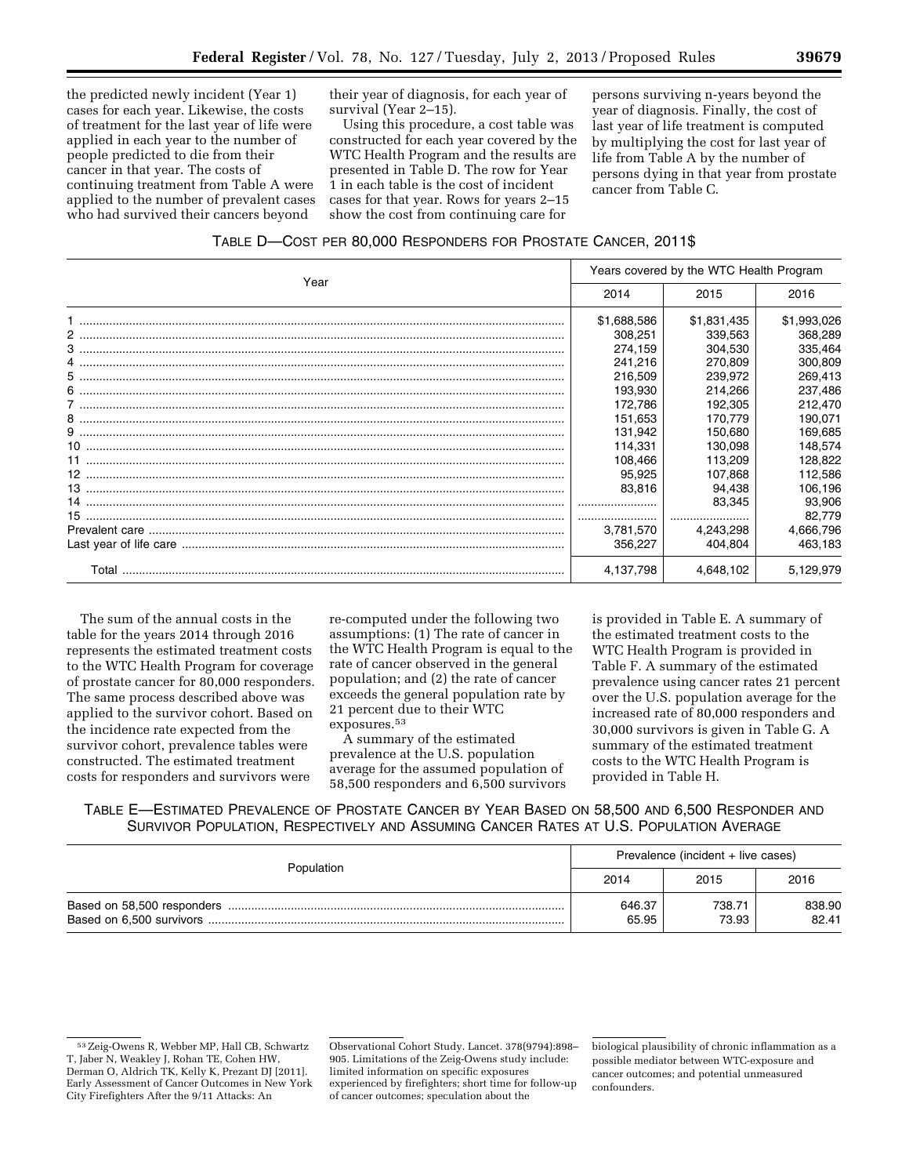the predicted newly incident (Year 1) cases for each year. Likewise, the costs of treatment for the last year of life were applied in each year to the number of people predicted to die from their cancer in that year. The costs of continuing treatment from Table A were applied to the number of prevalent cases who had survived their cancers beyond

their year of diagnosis, for each year of survival (Year 2–15).

Using this procedure, a cost table was constructed for each year covered by the WTC Health Program and the results are presented in Table D. The row for Year 1 in each table is the cost of incident cases for that year. Rows for years 2–15 show the cost from continuing care for

persons surviving n-years beyond the year of diagnosis. Finally, the cost of last year of life treatment is computed by multiplying the cost for last year of life from Table A by the number of persons dying in that year from prostate cancer from Table C.

|       | Years covered by the WTC Health Program |             |             |  |
|-------|-----------------------------------------|-------------|-------------|--|
| Year  | 2014                                    | 2015        | 2016        |  |
|       | \$1,688,586                             | \$1,831,435 | \$1,993,026 |  |
|       | 308,251                                 | 339,563     | 368,289     |  |
|       | 274,159                                 | 304,530     | 335,464     |  |
|       | 241,216                                 | 270,809     | 300,809     |  |
|       | 216,509                                 | 239.972     | 269,413     |  |
|       | 193,930                                 | 214.266     | 237,486     |  |
|       | 172,786                                 | 192,305     | 212,470     |  |
|       | 151.653                                 | 170.779     | 190,071     |  |
|       | 131.942                                 | 150.680     | 169,685     |  |
|       | 114.331                                 | 130.098     | 148,574     |  |
|       | 108,466                                 | 113,209     | 128,822     |  |
|       | 95,925                                  | 107.868     | 112,586     |  |
|       | 83.816                                  | 94,438      | 106,196     |  |
|       |                                         | 83,345      | 93,906      |  |
|       |                                         |             | 82,779      |  |
|       | 3,781,570                               | 4.243.298   | 4,666,796   |  |
|       | 356.227                                 | 404.804     | 463,183     |  |
| Total | 4,137,798                               | 4.648.102   | 5,129,979   |  |

The sum of the annual costs in the table for the years 2014 through 2016 represents the estimated treatment costs to the WTC Health Program for coverage of prostate cancer for 80,000 responders. The same process described above was applied to the survivor cohort. Based on the incidence rate expected from the survivor cohort, prevalence tables were constructed. The estimated treatment costs for responders and survivors were

re-computed under the following two assumptions: (1) The rate of cancer in the WTC Health Program is equal to the rate of cancer observed in the general population; and (2) the rate of cancer exceeds the general population rate by 21 percent due to their WTC exposures.53

A summary of the estimated prevalence at the U.S. population average for the assumed population of 58,500 responders and 6,500 survivors is provided in Table E. A summary of the estimated treatment costs to the WTC Health Program is provided in Table F. A summary of the estimated prevalence using cancer rates 21 percent over the U.S. population average for the increased rate of 80,000 responders and 30,000 survivors is given in Table G. A summary of the estimated treatment costs to the WTC Health Program is provided in Table H.

TABLE E—ESTIMATED PREVALENCE OF PROSTATE CANCER BY YEAR BASED ON 58,500 AND 6,500 RESPONDER AND SURVIVOR POPULATION, RESPECTIVELY AND ASSUMING CANCER RATES AT U.S. POPULATION AVERAGE

|            | Prevalence (incident + live cases) |                 |                 |  |
|------------|------------------------------------|-----------------|-----------------|--|
| Population | 2014                               | 2015            | 2016            |  |
|            | 646.37<br>65.95                    | 738.71<br>73.93 | 838.90<br>82.41 |  |

<sup>53</sup>Zeig-Owens R, Webber MP, Hall CB, Schwartz T, Jaber N, Weakley J, Rohan TE, Cohen HW, Derman O, Aldrich TK, Kelly K, Prezant DJ [2011]. Early Assessment of Cancer Outcomes in New York City Firefighters After the 9/11 Attacks: An

Observational Cohort Study. Lancet. 378(9794):898– 905. Limitations of the Zeig-Owens study include: limited information on specific exposures experienced by firefighters; short time for follow-up of cancer outcomes; speculation about the

biological plausibility of chronic inflammation as a possible mediator between WTC-exposure and cancer outcomes; and potential unmeasured confounders.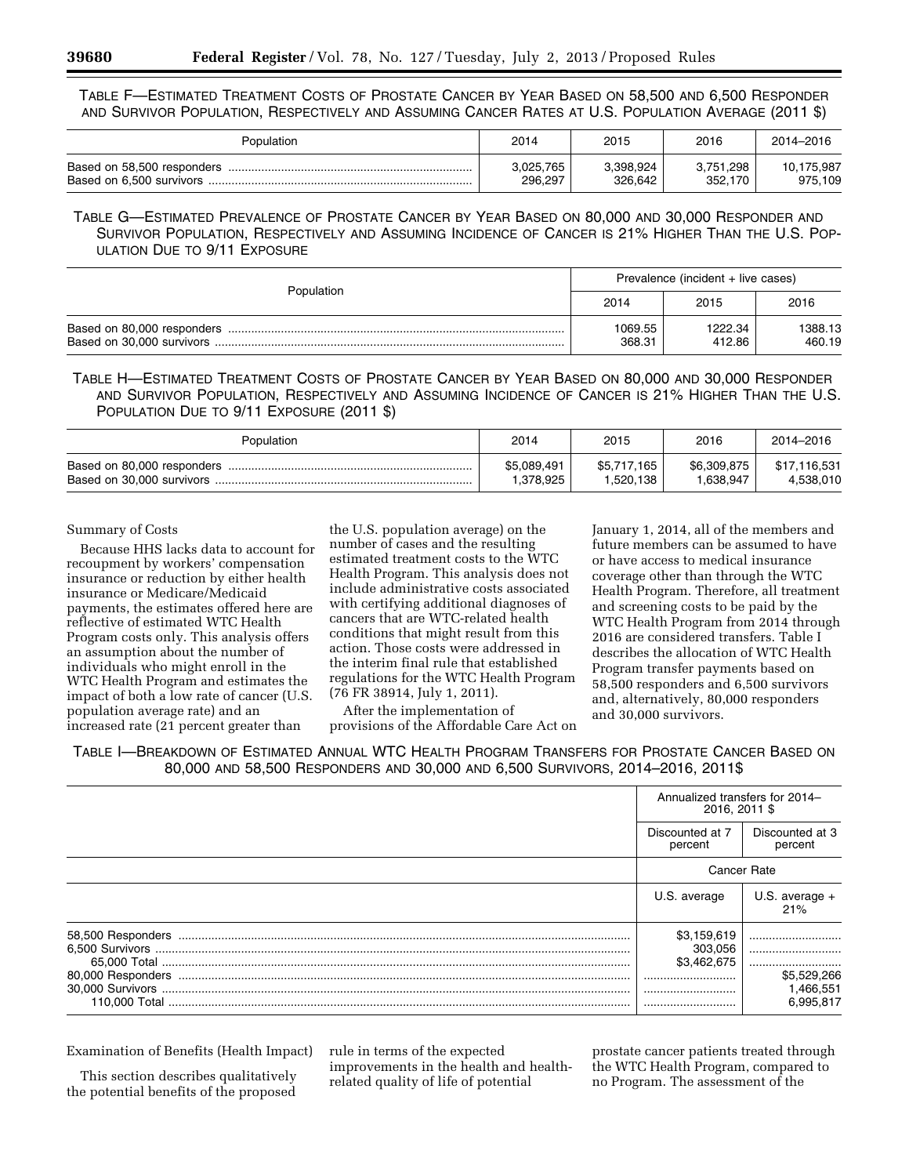TABLE F—ESTIMATED TREATMENT COSTS OF PROSTATE CANCER BY YEAR BASED ON 58,500 AND 6,500 RESPONDER AND SURVIVOR POPULATION, RESPECTIVELY AND ASSUMING CANCER RATES AT U.S. POPULATION AVERAGE (2011 \$)

| Population | 2014      | 2015      | 2016      | 2014-2016  |
|------------|-----------|-----------|-----------|------------|
|            | 3.025.765 | 3.398.924 | 3.751.298 | 10.175.987 |
|            | 296.297   | 326.642   | 352.170   | 975,109    |

TABLE G—ESTIMATED PREVALENCE OF PROSTATE CANCER BY YEAR BASED ON 80,000 AND 30,000 RESPONDER AND SURVIVOR POPULATION, RESPECTIVELY AND ASSUMING INCIDENCE OF CANCER IS 21% HIGHER THAN THE U.S. POP-ULATION DUE TO 9/11 EXPOSURE

| Population | Prevalence (incident + live cases) |                   |                   |  |
|------------|------------------------------------|-------------------|-------------------|--|
|            | 2014                               | 2015              | 2016              |  |
|            | 1069.55<br>368.31                  | 1222.34<br>412.86 | 1388.13<br>460.19 |  |

TABLE H—ESTIMATED TREATMENT COSTS OF PROSTATE CANCER BY YEAR BASED ON 80,000 AND 30,000 RESPONDER AND SURVIVOR POPULATION, RESPECTIVELY AND ASSUMING INCIDENCE OF CANCER IS 21% HIGHER THAN THE U.S. POPULATION DUE TO 9/11 EXPOSURE (2011 \$)

| Population                  | 2014                     | 2015                     | 2016                     | 2014-2016                 |
|-----------------------------|--------------------------|--------------------------|--------------------------|---------------------------|
| Based on 80,000 responders. | \$5,089,491<br>1,378,925 | \$5.717.165<br>1.520.138 | \$6,309,875<br>1.638.947 | \$17.116.531<br>4.538.010 |

# Summary of Costs

Because HHS lacks data to account for recoupment by workers' compensation insurance or reduction by either health insurance or Medicare/Medicaid payments, the estimates offered here are reflective of estimated WTC Health Program costs only. This analysis offers an assumption about the number of individuals who might enroll in the WTC Health Program and estimates the impact of both a low rate of cancer (U.S. population average rate) and an increased rate (21 percent greater than

the U.S. population average) on the number of cases and the resulting estimated treatment costs to the WTC Health Program. This analysis does not include administrative costs associated with certifying additional diagnoses of cancers that are WTC-related health conditions that might result from this action. Those costs were addressed in the interim final rule that established regulations for the WTC Health Program (76 FR 38914, July 1, 2011).

After the implementation of provisions of the Affordable Care Act on January 1, 2014, all of the members and future members can be assumed to have or have access to medical insurance coverage other than through the WTC Health Program. Therefore, all treatment and screening costs to be paid by the WTC Health Program from 2014 through 2016 are considered transfers. Table I describes the allocation of WTC Health Program transfer payments based on 58,500 responders and 6,500 survivors and, alternatively, 80,000 responders and 30,000 survivors.

TABLE I—BREAKDOWN OF ESTIMATED ANNUAL WTC HEALTH PROGRAM TRANSFERS FOR PROSTATE CANCER BASED ON 80,000 AND 58,500 RESPONDERS AND 30,000 AND 6,500 SURVIVORS, 2014–2016, 2011\$

|                                        | Annualized transfers for 2014-<br>2016, 2011 \$<br>Discounted at 7<br>Discounted at 3<br>percent<br>percent |                                       |
|----------------------------------------|-------------------------------------------------------------------------------------------------------------|---------------------------------------|
|                                        |                                                                                                             |                                       |
|                                        | <b>Cancer Rate</b>                                                                                          |                                       |
|                                        | U.S. average +<br>U.S. average<br>21%                                                                       |                                       |
| 58,500 Responders<br>80,000 Responders | \$3,159,619<br>303,056<br>\$3.462.675<br><br><br>                                                           | \$5,529,266<br>1,466,551<br>6,995,817 |

Examination of Benefits (Health Impact)

This section describes qualitatively the potential benefits of the proposed rule in terms of the expected improvements in the health and healthrelated quality of life of potential

prostate cancer patients treated through the WTC Health Program, compared to no Program. The assessment of the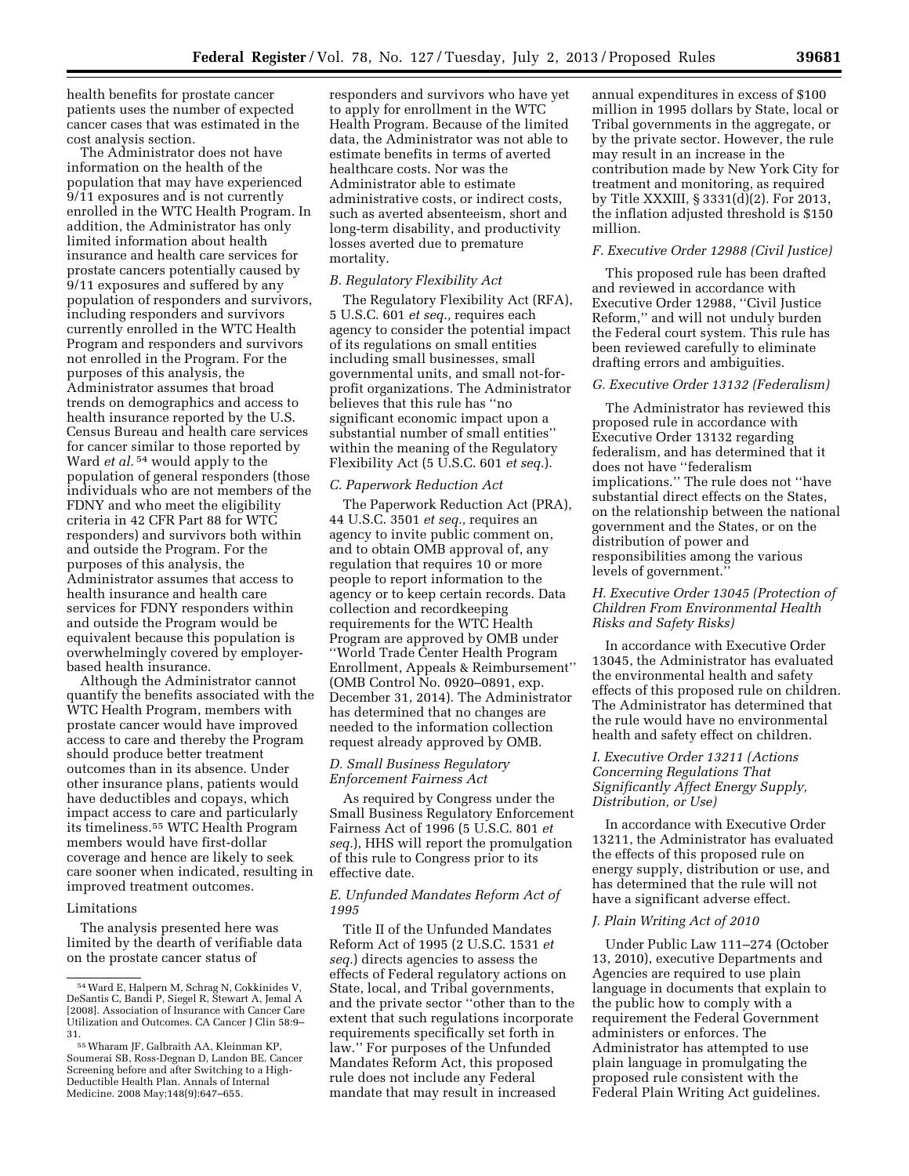health benefits for prostate cancer patients uses the number of expected cancer cases that was estimated in the cost analysis section.

The Administrator does not have information on the health of the population that may have experienced 9/11 exposures and is not currently enrolled in the WTC Health Program. In addition, the Administrator has only limited information about health insurance and health care services for prostate cancers potentially caused by 9/11 exposures and suffered by any population of responders and survivors, including responders and survivors currently enrolled in the WTC Health Program and responders and survivors not enrolled in the Program. For the purposes of this analysis, the Administrator assumes that broad trends on demographics and access to health insurance reported by the U.S. Census Bureau and health care services for cancer similar to those reported by Ward *et al.* 54 would apply to the population of general responders (those individuals who are not members of the FDNY and who meet the eligibility criteria in 42 CFR Part 88 for WTC responders) and survivors both within and outside the Program. For the purposes of this analysis, the Administrator assumes that access to health insurance and health care services for FDNY responders within and outside the Program would be equivalent because this population is overwhelmingly covered by employerbased health insurance.

Although the Administrator cannot quantify the benefits associated with the WTC Health Program, members with prostate cancer would have improved access to care and thereby the Program should produce better treatment outcomes than in its absence. Under other insurance plans, patients would have deductibles and copays, which impact access to care and particularly its timeliness.55 WTC Health Program members would have first-dollar coverage and hence are likely to seek care sooner when indicated, resulting in improved treatment outcomes.

# Limitations

The analysis presented here was limited by the dearth of verifiable data on the prostate cancer status of

responders and survivors who have yet to apply for enrollment in the WTC Health Program. Because of the limited data, the Administrator was not able to estimate benefits in terms of averted healthcare costs. Nor was the Administrator able to estimate administrative costs, or indirect costs, such as averted absenteeism, short and long-term disability, and productivity losses averted due to premature mortality.

#### *B. Regulatory Flexibility Act*

The Regulatory Flexibility Act (RFA), 5 U.S.C. 601 *et seq.,* requires each agency to consider the potential impact of its regulations on small entities including small businesses, small governmental units, and small not-forprofit organizations. The Administrator believes that this rule has ''no significant economic impact upon a substantial number of small entities'' within the meaning of the Regulatory Flexibility Act (5 U.S.C. 601 *et seq.*).

#### *C. Paperwork Reduction Act*

The Paperwork Reduction Act (PRA), 44 U.S.C. 3501 *et seq.,* requires an agency to invite public comment on, and to obtain OMB approval of, any regulation that requires 10 or more people to report information to the agency or to keep certain records. Data collection and recordkeeping requirements for the WTC Health Program are approved by OMB under ''World Trade Center Health Program Enrollment, Appeals & Reimbursement'' (OMB Control No. 0920–0891, exp. December 31, 2014). The Administrator has determined that no changes are needed to the information collection request already approved by OMB.

## *D. Small Business Regulatory Enforcement Fairness Act*

As required by Congress under the Small Business Regulatory Enforcement Fairness Act of 1996 (5 U.S.C. 801 *et seq.*), HHS will report the promulgation of this rule to Congress prior to its effective date.

# *E. Unfunded Mandates Reform Act of 1995*

Title II of the Unfunded Mandates Reform Act of 1995 (2 U.S.C. 1531 *et seq.*) directs agencies to assess the effects of Federal regulatory actions on State, local, and Tribal governments, and the private sector ''other than to the extent that such regulations incorporate requirements specifically set forth in law.'' For purposes of the Unfunded Mandates Reform Act, this proposed rule does not include any Federal mandate that may result in increased

annual expenditures in excess of \$100 million in 1995 dollars by State, local or Tribal governments in the aggregate, or by the private sector. However, the rule may result in an increase in the contribution made by New York City for treatment and monitoring, as required by Title XXXIII, § 3331(d)(2). For 2013, the inflation adjusted threshold is \$150 million.

# *F. Executive Order 12988 (Civil Justice)*

This proposed rule has been drafted and reviewed in accordance with Executive Order 12988, ''Civil Justice Reform,'' and will not unduly burden the Federal court system. This rule has been reviewed carefully to eliminate drafting errors and ambiguities.

# *G. Executive Order 13132 (Federalism)*

The Administrator has reviewed this proposed rule in accordance with Executive Order 13132 regarding federalism, and has determined that it does not have ''federalism implications.'' The rule does not ''have substantial direct effects on the States, on the relationship between the national government and the States, or on the distribution of power and responsibilities among the various levels of government.''

# *H. Executive Order 13045 (Protection of Children From Environmental Health Risks and Safety Risks)*

In accordance with Executive Order 13045, the Administrator has evaluated the environmental health and safety effects of this proposed rule on children. The Administrator has determined that the rule would have no environmental health and safety effect on children.

# *I. Executive Order 13211 (Actions Concerning Regulations That Significantly Affect Energy Supply, Distribution, or Use)*

In accordance with Executive Order 13211, the Administrator has evaluated the effects of this proposed rule on energy supply, distribution or use, and has determined that the rule will not have a significant adverse effect.

#### *J. Plain Writing Act of 2010*

Under Public Law 111–274 (October 13, 2010), executive Departments and Agencies are required to use plain language in documents that explain to the public how to comply with a requirement the Federal Government administers or enforces. The Administrator has attempted to use plain language in promulgating the proposed rule consistent with the Federal Plain Writing Act guidelines.

<sup>54</sup>Ward E, Halpern M, Schrag N, Cokkinides V, DeSantis C, Bandi P, Siegel R, Stewart A, Jemal A [2008]. Association of Insurance with Cancer Care Utilization and Outcomes. CA Cancer J Clin 58:9–

<sup>55</sup> Wharam JF, Galbraith AA, Kleinman KP, Soumerai SB, Ross-Degnan D, Landon BE. Cancer Screening before and after Switching to a High-Deductible Health Plan. Annals of Internal Medicine. 2008 May;148(9):647–655.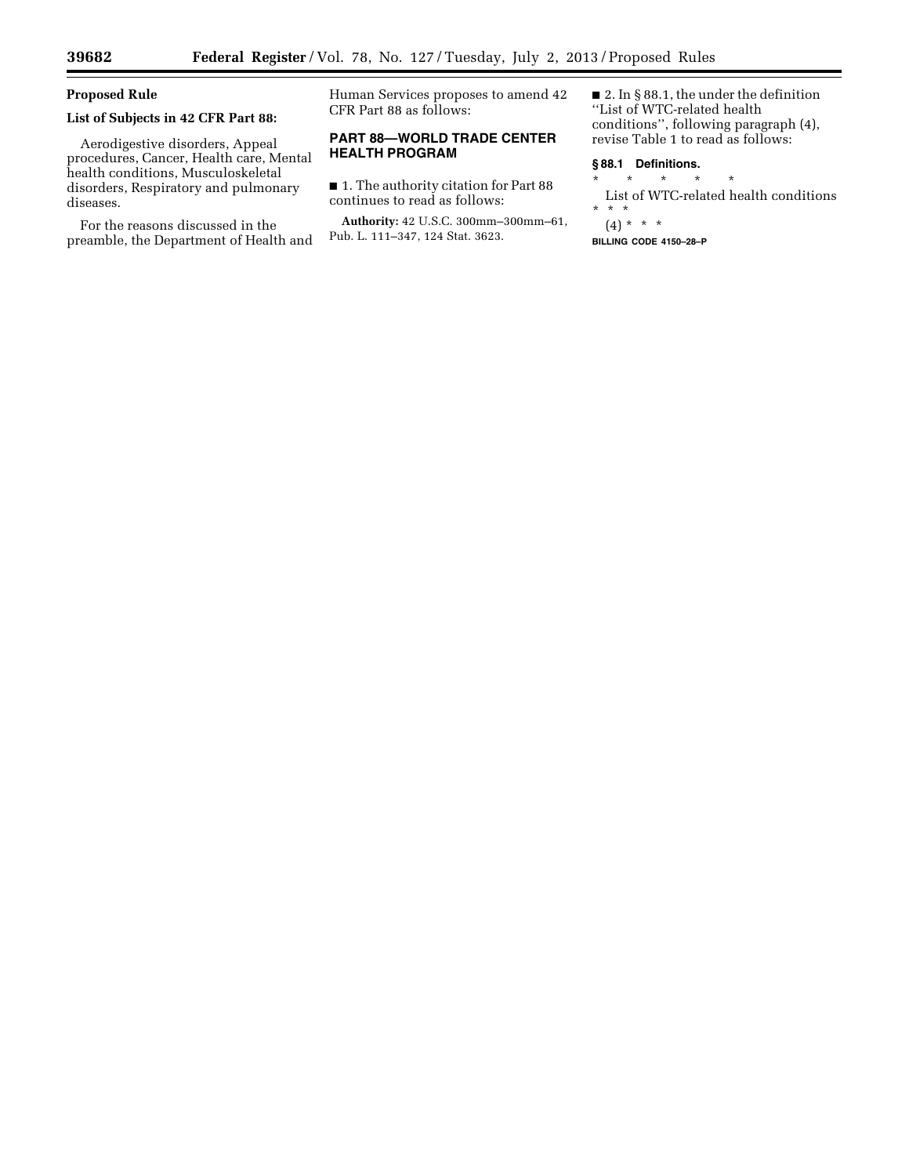≡

# **Proposed Rule**

# **List of Subjects in 42 CFR Part 88:**

Aerodigestive disorders, Appeal procedures, Cancer, Health care, Mental health conditions, Musculoskeletal disorders, Respiratory and pulmonary diseases.

For the reasons discussed in the preamble, the Department of Health and Human Services proposes to amend 42 CFR Part 88 as follows:

# **PART 88—WORLD TRADE CENTER HEALTH PROGRAM**

■ 1. The authority citation for Part 88 continues to read as follows:

**Authority:** 42 U.S.C. 300mm–300mm–61, Pub. L. 111–347, 124 Stat. 3623.

■ 2. In § 88.1, the under the definition ''List of WTC-related health conditions'', following paragraph (4), revise Table 1 to read as follows:

## **§ 88.1 Definitions.**

\* \* \* \* \*

List of WTC-related health conditions  $\stackrel{*}{\text{*}}$   $\stackrel{*}{\text{*}}$ \* \* \*

(4) \* \* \*

**BILLING CODE 4150–28–P**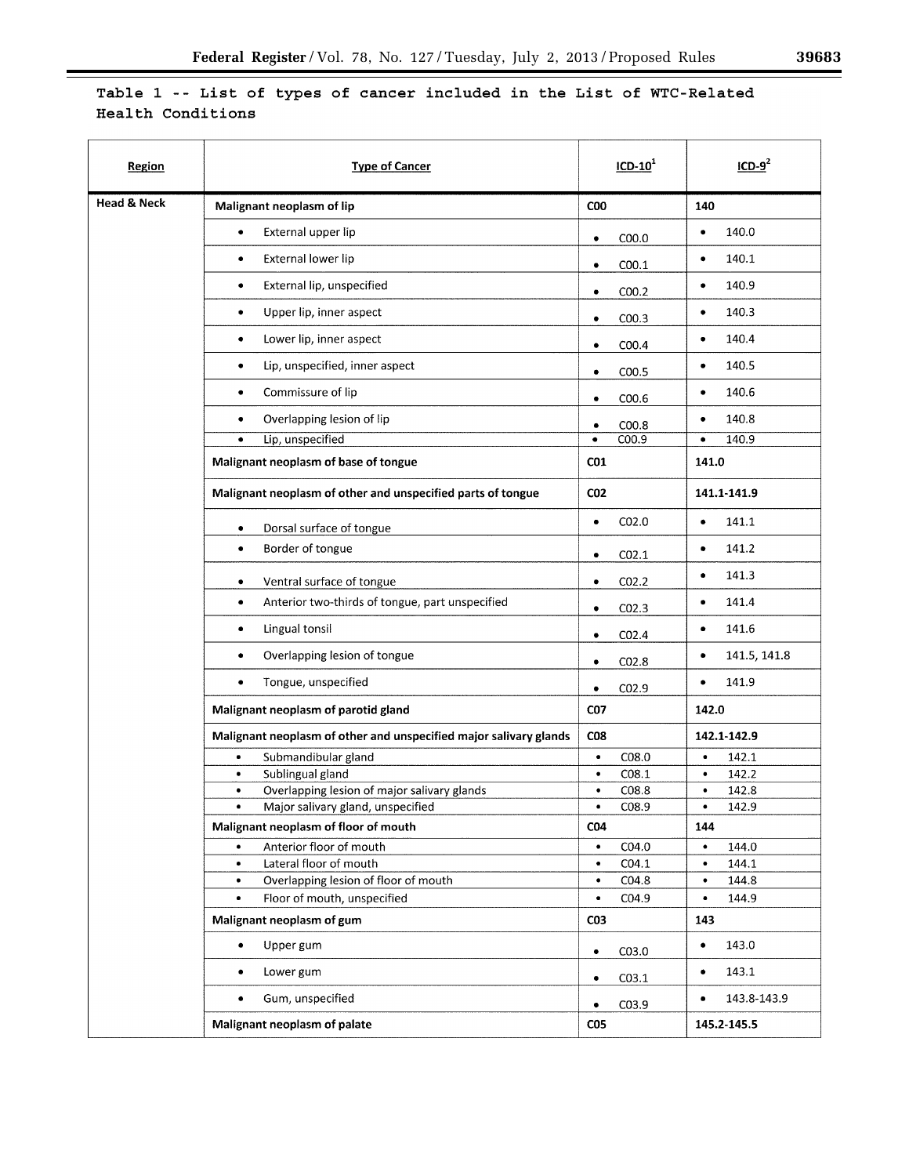# Table 1 -- List of types of cancer included in the List of WTC-Related Health Conditions

| Region                 | <b>Type of Cancer</b>                                             | $ICD-101$         | ICD-9 <sup>4</sup> |
|------------------------|-------------------------------------------------------------------|-------------------|--------------------|
| <b>Head &amp; Neck</b> | Malignant neoplasm of lip                                         | C <sub>0</sub>    | 140                |
|                        | External upper lip                                                | C <sub>00.0</sub> | 140.0              |
|                        | ٠                                                                 | $\bullet$         | $\bullet$          |
|                        | External lower lip                                                | COO.1             | 140.1              |
|                        | ٠                                                                 | ٠                 | ٠                  |
|                        | External lip, unspecified                                         | COO.2             | 140.9              |
|                        | ٠                                                                 | $\bullet$         | ٠                  |
|                        | Upper lip, inner aspect                                           | COO.3             | 140.3              |
|                        | ۰                                                                 | $\bullet$         | ٠                  |
|                        | Lower lip, inner aspect                                           | COO.4             | 140.4              |
|                        | ٠                                                                 | ٠                 | $\bullet$          |
|                        | Lip, unspecified, inner aspect                                    | C <sub>00.5</sub> | 140.5              |
|                        | ٠                                                                 | ٠                 | ٠                  |
|                        | Commissure of lip                                                 | COO.6             | 140.6              |
|                        | ٠                                                                 | $\bullet$         | ٠                  |
|                        | Overlapping lesion of lip                                         | COO.8             | 140.8              |
|                        | ٠                                                                 | $\bullet$         | $\bullet$          |
|                        | Lip, unspecified                                                  | C00.9             | 140.9              |
|                        | ٠                                                                 | $\bullet$         | $\bullet$          |
|                        | Malignant neoplasm of base of tongue                              | CO <sub>1</sub>   | 141.0              |
|                        | Malignant neoplasm of other and unspecified parts of tongue       | CO <sub>2</sub>   | 141.1-141.9        |
|                        | Dorsal surface of tongue                                          | CO <sub>2.0</sub> | 141.1              |
|                        | ٠                                                                 | ٠                 | $\bullet$          |
|                        | Border of tongue                                                  | CO <sub>2.1</sub> | 141.2              |
|                        | $\bullet$                                                         | ٠                 | ٠                  |
|                        | Ventral surface of tongue                                         | CO <sub>2.2</sub> | 141.3              |
|                        | $\bullet$                                                         | ٠                 | ٠                  |
|                        | Anterior two-thirds of tongue, part unspecified                   | CO <sub>2.3</sub> | 141.4              |
|                        | ٠                                                                 | ٠                 | $\bullet$          |
|                        | Lingual tonsil                                                    | CO <sub>2.4</sub> | 141.6              |
|                        | ٠                                                                 | $\bullet$         | ٠                  |
|                        | Overlapping lesion of tongue                                      | CO <sub>2.8</sub> | 141.5, 141.8       |
|                        | $\bullet$                                                         | $\bullet$         | $\bullet$          |
|                        | Tongue, unspecified                                               | CO <sub>2.9</sub> | 141.9              |
|                        | $\bullet$                                                         | $\bullet$         | $\bullet$          |
|                        | Malignant neoplasm of parotid gland                               | <b>CO7</b>        | 142.0              |
|                        | Malignant neoplasm of other and unspecified major salivary glands | C <sub>08</sub>   | 142.1-142.9        |
|                        | Submandibular gland                                               | CO8.0             | 142.1              |
|                        | $\bullet$                                                         | $\bullet$         | $\bullet$          |
|                        | Sublingual gland                                                  | CO8.1             | 142.2              |
|                        | ٠                                                                 | ٠                 | ٠                  |
|                        | Overlapping lesion of major salivary glands                       | CO8.8             | $\bullet$          |
|                        | ٠                                                                 | $\bullet$         | 142.8              |
|                        | Major salivary gland, unspecified                                 | C08.9             | 142.9              |
|                        | ٠                                                                 | ٠                 | ٠                  |
|                        | Malignant neoplasm of floor of mouth                              | <b>CO4</b>        | 144                |
|                        | Anterior floor of mouth                                           | CO4.0             | 144.0              |
|                        | ٠                                                                 | $\bullet$         | $\bullet$          |
|                        | Lateral floor of mouth                                            | CO4.1             | 144.1              |
|                        | ٠                                                                 | $\bullet$         | $\bullet$          |
|                        | Overlapping lesion of floor of mouth                              | $\bullet$         | 144.8              |
|                        | ٠                                                                 | CO4.8             | $\bullet$          |
|                        | Floor of mouth, unspecified                                       | C04.9             | $\bullet$          |
|                        | $\bullet$                                                         | $\bullet$         | 144.9              |
|                        | Malignant neoplasm of gum                                         | CO <sub>3</sub>   | 143                |
|                        | Upper gum                                                         | CO3.0             | 143.0              |
|                        | $\bullet$                                                         | $\bullet$         | $\bullet$          |
|                        | Lower gum                                                         | C <sub>03.1</sub> | 143.1              |
|                        | ٠                                                                 | $\bullet$         | $\bullet$          |
|                        | Gum, unspecified                                                  | CO3.9             | 143.8-143.9        |
|                        | ٠                                                                 | $\bullet$         | ٠                  |
|                        | Malignant neoplasm of palate                                      | CO <sub>5</sub>   | 145.2-145.5        |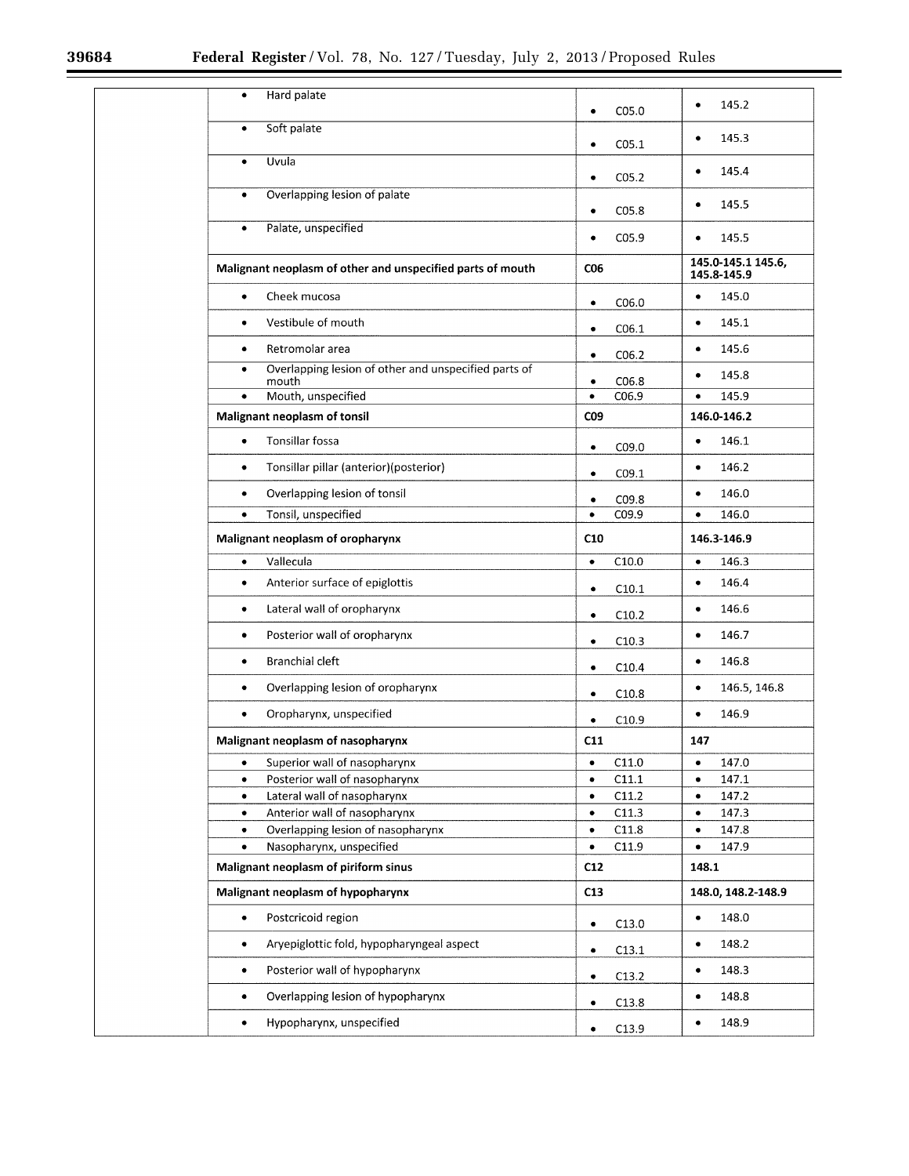Ξ

| Hard palate                                                                | C <sub>05.0</sub>  | 145.2                             |
|----------------------------------------------------------------------------|--------------------|-----------------------------------|
| $\bullet$                                                                  | ٠                  | ٠                                 |
| Soft palate<br>$\bullet$                                                   | CO <sub>5.1</sub>  | 145.3<br>٠                        |
| Uvula                                                                      | CO <sub>5.2</sub>  | 145.4                             |
| ٠                                                                          | ٠                  | ٠                                 |
| Overlapping lesion of palate                                               | CO <sub>5.8</sub>  | 145.5                             |
| $\bullet$                                                                  | ٠                  | ٠                                 |
| Palate, unspecified<br>$\bullet$                                           | CO <sub>5.9</sub>  | 145.5<br>٠                        |
| Malignant neoplasm of other and unspecified parts of mouth                 | C06                | 145.0-145.1 145.6,<br>145.8-145.9 |
| Cheek mucosa                                                               | C06.0              | 145.0                             |
| ٠                                                                          | ٠                  | ٠                                 |
| Vestibule of mouth                                                         | CO6.1              | 145.1                             |
| ۰                                                                          | ٠                  | $\bullet$                         |
| Retromolar area                                                            | CO6.2              | 145.6                             |
| $\bullet$                                                                  | $\bullet$          | ٠                                 |
| Overlapping lesion of other and unspecified parts of<br>$\bullet$<br>mouth | CO6.8<br>$\bullet$ | 145.8<br>٠                        |
| Mouth, unspecified                                                         | C06.9              | 145.9                             |
| ٠                                                                          | ۰                  | ٠                                 |
| Malignant neoplasm of tonsil                                               | CO9                | 146.0-146.2                       |
| Tonsillar fossa                                                            | C09.0              | 146.1                             |
| $\bullet$                                                                  | ٠                  | ٠                                 |
| Tonsillar pillar (anterior)(posterior)                                     | CO9.1              | 146.2                             |
| $\bullet$                                                                  | $\bullet$          | ٠                                 |
| Overlapping lesion of tonsil                                               | CO9.8              | 146.0                             |
| ٠                                                                          | ٠                  | ٠                                 |
| Tonsil, unspecified                                                        | C09.9              | 146.0                             |
| $\bullet$                                                                  | $\bullet$          | ٠                                 |
| Malignant neoplasm of oropharynx                                           | C10                | 146.3-146.9                       |
| Vallecula                                                                  | C10.0              | 146.3                             |
| $\bullet$                                                                  | $\bullet$          | ٠                                 |
| Anterior surface of epiglottis                                             | C10.1              | 146.4                             |
| ٠                                                                          | $\bullet$          | ٠                                 |
| Lateral wall of oropharynx                                                 | C10.2              | 146.6                             |
| ٠                                                                          | $\bullet$          | ٠                                 |
| Posterior wall of oropharynx                                               | C10.3              | 146.7                             |
| ٠                                                                          | $\bullet$          | ٠                                 |
| <b>Branchial cleft</b>                                                     | C10.4              | 146.8                             |
| ٠                                                                          | $\bullet$          | ٠                                 |
| Overlapping lesion of oropharynx                                           | C10.8              | 146.5, 146.8                      |
| ۰                                                                          | ٠                  | ٠                                 |
| Oropharynx, unspecified<br>٠                                               | C10.9              | 146.9<br>٠                        |
| Malignant neoplasm of nasopharynx                                          | C11                | 147                               |
| Superior wall of nasopharynx                                               | C11.0              | 147.0                             |
| ٠                                                                          | ٠                  | ٠                                 |
| Posterior wall of nasopharynx                                              | C11.1              | 147.1                             |
| ٠                                                                          | ٠                  | ٠                                 |
| Lateral wall of nasopharynx                                                | C11.2              | 147.2                             |
| $\bullet$                                                                  | $\bullet$          | ٠                                 |
| Anterior wall of nasopharynx                                               | C11.3              | 147.3                             |
| $\bullet$                                                                  | ٠                  | ٠                                 |
| Overlapping lesion of nasopharynx                                          | C11.8              | 147.8                             |
| ٠                                                                          | ٠                  | ٠                                 |
| Nasopharynx, unspecified                                                   | C11.9              | 147.9                             |
| $\bullet$                                                                  | $\bullet$          | $\bullet$                         |
| Malignant neoplasm of piriform sinus                                       | C12                | 148.1                             |
| Malignant neoplasm of hypopharynx                                          | C13                | 148.0, 148.2-148.9                |
| Postcricoid region                                                         | C13.0              | 148.0                             |
| $\bullet$                                                                  | $\bullet$          | $\bullet$                         |
| Aryepiglottic fold, hypopharyngeal aspect                                  | C13.1              | 148.2                             |
| ٠                                                                          | ٠                  | ٠                                 |
| Posterior wall of hypopharynx                                              | C13.2              | 148.3                             |
| $\bullet$                                                                  | ٠                  | ٠                                 |
| Overlapping lesion of hypopharynx                                          | C13.8              | 148.8                             |
| ٠                                                                          | ٠                  | ٠                                 |
| Hypopharynx, unspecified                                                   | C13.9              | 148.9                             |
| $\bullet$                                                                  | $\bullet$          | ٠                                 |
|                                                                            |                    |                                   |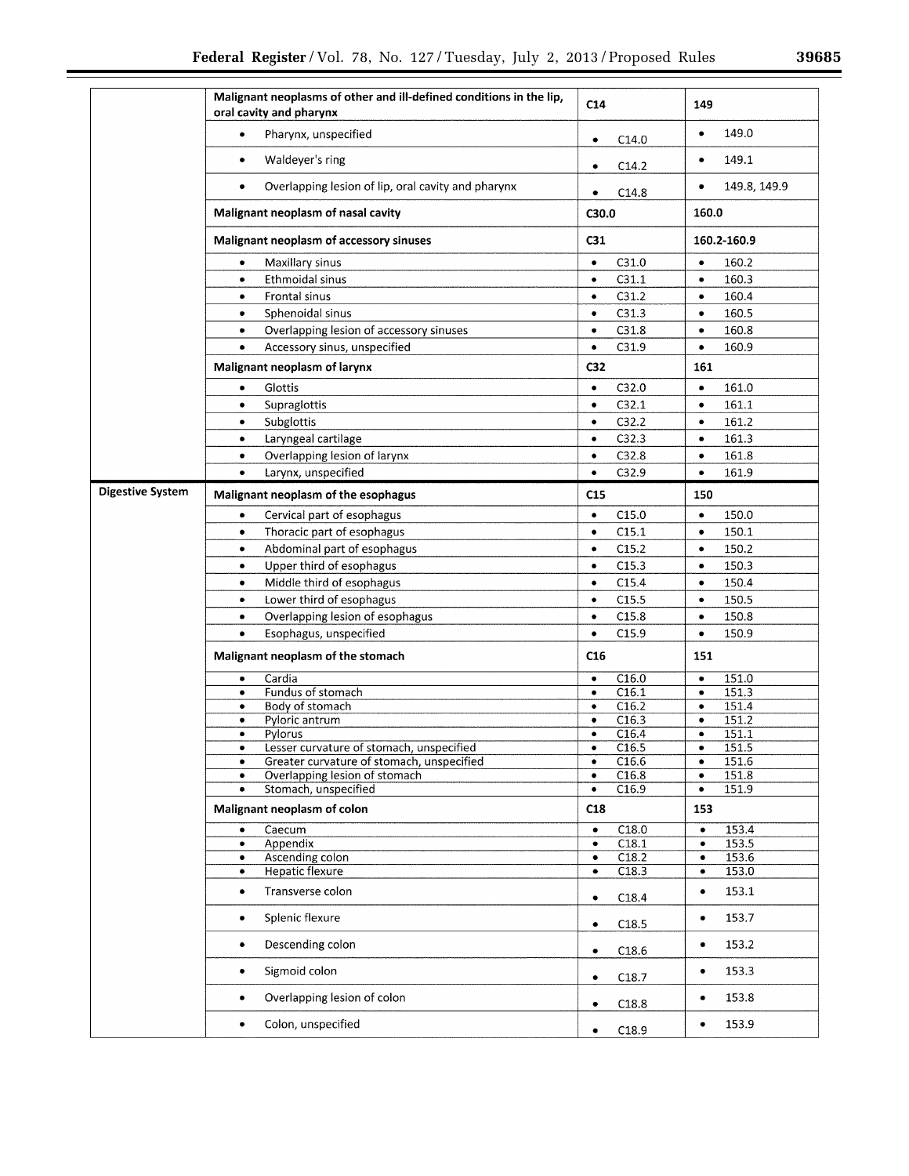|                  | Malignant neoplasms of other and ill-defined conditions in the lip,<br>oral cavity and pharynx | C <sub>14</sub>    | 149          |
|------------------|------------------------------------------------------------------------------------------------|--------------------|--------------|
|                  | Pharynx, unspecified                                                                           | C14.0              | 149.0        |
|                  | $\bullet$                                                                                      | $\bullet$          | $\bullet$    |
|                  | Waldever's ring                                                                                | C14.2              | 149.1        |
|                  | ٠                                                                                              | $\bullet$          | ٠            |
|                  | Overlapping lesion of lip, oral cavity and pharynx                                             | C14.8              | 149.8, 149.9 |
|                  | $\bullet$                                                                                      | $\bullet$          | $\bullet$    |
|                  | Malignant neoplasm of nasal cavity                                                             | C30.0              | 160.0        |
|                  | Malignant neoplasm of accessory sinuses                                                        | C <sub>31</sub>    | 160.2-160.9  |
|                  | Maxillary sinus                                                                                | $\bullet$          | 160.2        |
|                  | $\bullet$                                                                                      | C31.0              | $\bullet$    |
|                  | Ethmoidal sinus                                                                                | C31.1              | 160.3        |
|                  | $\bullet$                                                                                      | $\bullet$          | $\bullet$    |
|                  | Frontal sinus                                                                                  | C31.2              | 160.4        |
|                  | $\bullet$                                                                                      | $\bullet$          | $\bullet$    |
|                  | Sphenoidal sinus                                                                               | C31.3              | 160.5        |
|                  | $\bullet$                                                                                      | $\bullet$          | $\bullet$    |
|                  | Overlapping lesion of accessory sinuses                                                        | C31.8              | 160.8        |
|                  | ٠                                                                                              | $\bullet$          | $\bullet$    |
|                  | Accessory sinus, unspecified                                                                   | C31.9              | 160.9        |
|                  | $\bullet$                                                                                      | $\bullet$          | $\bullet$    |
|                  | Malignant neoplasm of larynx                                                                   | C <sub>32</sub>    | 161          |
|                  | Glottis                                                                                        | C32.0              | 161.0        |
|                  | ۰                                                                                              | $\bullet$          | $\bullet$    |
|                  | Supraglottis                                                                                   | C32.1              | 161.1        |
|                  | ٠                                                                                              | $\bullet$          | $\bullet$    |
|                  | Subglottis                                                                                     | C32.2              | 161.2        |
|                  | $\bullet$                                                                                      | $\bullet$          | $\bullet$    |
|                  | Laryngeal cartilage                                                                            | C32.3              | 161.3        |
|                  | $\bullet$                                                                                      | $\bullet$          | $\bullet$    |
|                  | Overlapping lesion of larynx                                                                   | C32.8              | 161.8        |
|                  | $\bullet$                                                                                      | $\bullet$          | $\bullet$    |
|                  |                                                                                                |                    |              |
|                  | Larvnx, unspecified                                                                            | C32.9              | 161.9        |
|                  | $\bullet$                                                                                      | $\bullet$          | $\bullet$    |
| Digestive System | Malignant neoplasm of the esophagus                                                            | C15                | 150          |
|                  | Cervical part of esophagus                                                                     | C15.0              | 150.0        |
|                  | $\bullet$                                                                                      | $\bullet$          | $\bullet$    |
|                  | Thoracic part of esophagus                                                                     | C15.1              | 150.1        |
|                  | ٠                                                                                              | $\bullet$          | $\bullet$    |
|                  | Abdominal part of esophagus                                                                    | C15.2              | 150.2        |
|                  | ۰                                                                                              | $\bullet$          | $\bullet$    |
|                  | Upper third of esophagus                                                                       | C15.3              | 150.3        |
|                  | $\bullet$                                                                                      | $\bullet$          | $\bullet$    |
|                  | Middle third of esophagus                                                                      | C15.4              | 150.4        |
|                  | $\bullet$                                                                                      | $\bullet$          | $\bullet$    |
|                  | Lower third of esophagus                                                                       | C15.5              | 150.5        |
|                  | $\bullet$                                                                                      | $\bullet$          | $\bullet$    |
|                  | Overlapping lesion of esophagus                                                                | C15.8              | 150.8        |
|                  | $\bullet$                                                                                      | $\bullet$          | $\bullet$    |
|                  | Esophagus, unspecified                                                                         | C15.9              | 150.9        |
|                  | $\bullet$                                                                                      | $\bullet$          | $\bullet$    |
|                  | Malignant neoplasm of the stomach                                                              | C <sub>16</sub>    | 151          |
|                  | Cardia                                                                                         | C16.0              | 151.0        |
|                  | ٠                                                                                              | $\bullet$          | $\bullet$    |
|                  | Fundus of stomach                                                                              | C16.1              | 151.3        |
|                  | ٠                                                                                              | $\bullet$          | $\bullet$    |
|                  | Body of stomach                                                                                | C16.2              | 151.4        |
|                  | ٠                                                                                              | $\bullet$          | $\bullet$    |
|                  | Pyloric antrum                                                                                 | C16.3              | 151.2        |
|                  | ٠                                                                                              | ۰                  | ٠            |
|                  | Pylorus                                                                                        | C16.4              | 151.1        |
|                  | Lesser curvature of stomach, unspecified                                                       | C <sub>16.5</sub>  | 151.5        |
|                  | ٠                                                                                              | ٠                  | $\bullet$    |
|                  | Greater curvature of stomach, unspecified                                                      | C16.6              | 151.6        |
|                  | ٠                                                                                              | $\bullet$          | $\bullet$    |
|                  | Overlapping lesion of stomach                                                                  | C16.8              | 151.8        |
|                  | ٠                                                                                              | $\bullet$          | $\bullet$    |
|                  | Stomach, unspecified                                                                           | C16.9              | 151.9        |
|                  | $\bullet$                                                                                      | $\bullet$          | $\bullet$    |
|                  | Malignant neoplasm of colon                                                                    | C18                | 153          |
|                  | Caecum                                                                                         | C18.0              | 153.4        |
|                  | $\bullet$                                                                                      | $\bullet$          | $\bullet$    |
|                  | Appendix                                                                                       | $\overline{C18.1}$ | 153.5        |
|                  | ٠                                                                                              | $\bullet$          | $\bullet$    |
|                  | Ascending colon                                                                                | C18.2              | 153.6        |
|                  | $\bullet$                                                                                      | $\bullet$          | $\bullet$    |
|                  | Hepatic flexure                                                                                | C18.3              | 153.0        |
|                  | $\bullet$                                                                                      | ٠                  | $\bullet$    |
|                  | Transverse colon                                                                               | C18.4              | 153.1        |
|                  | $\bullet$                                                                                      | $\bullet$          | $\bullet$    |
|                  | Splenic flexure                                                                                | C18.5              | 153.7        |
|                  | ٠                                                                                              | ٠                  | $\bullet$    |
|                  | Descending colon                                                                               | C18.6              | 153.2        |
|                  | ۰                                                                                              | ٠                  | $\bullet$    |
|                  | Sigmoid colon                                                                                  | C18.7              | 153.3        |
|                  | $\bullet$                                                                                      | ٠                  | $\bullet$    |
|                  | Overlapping lesion of colon                                                                    | C18.8              | 153.8        |
|                  | ٠                                                                                              | ٠                  | $\bullet$    |
|                  | Colon, unspecified                                                                             | C18.9              | 153.9        |
|                  | ٠                                                                                              | $\bullet$          | ٠            |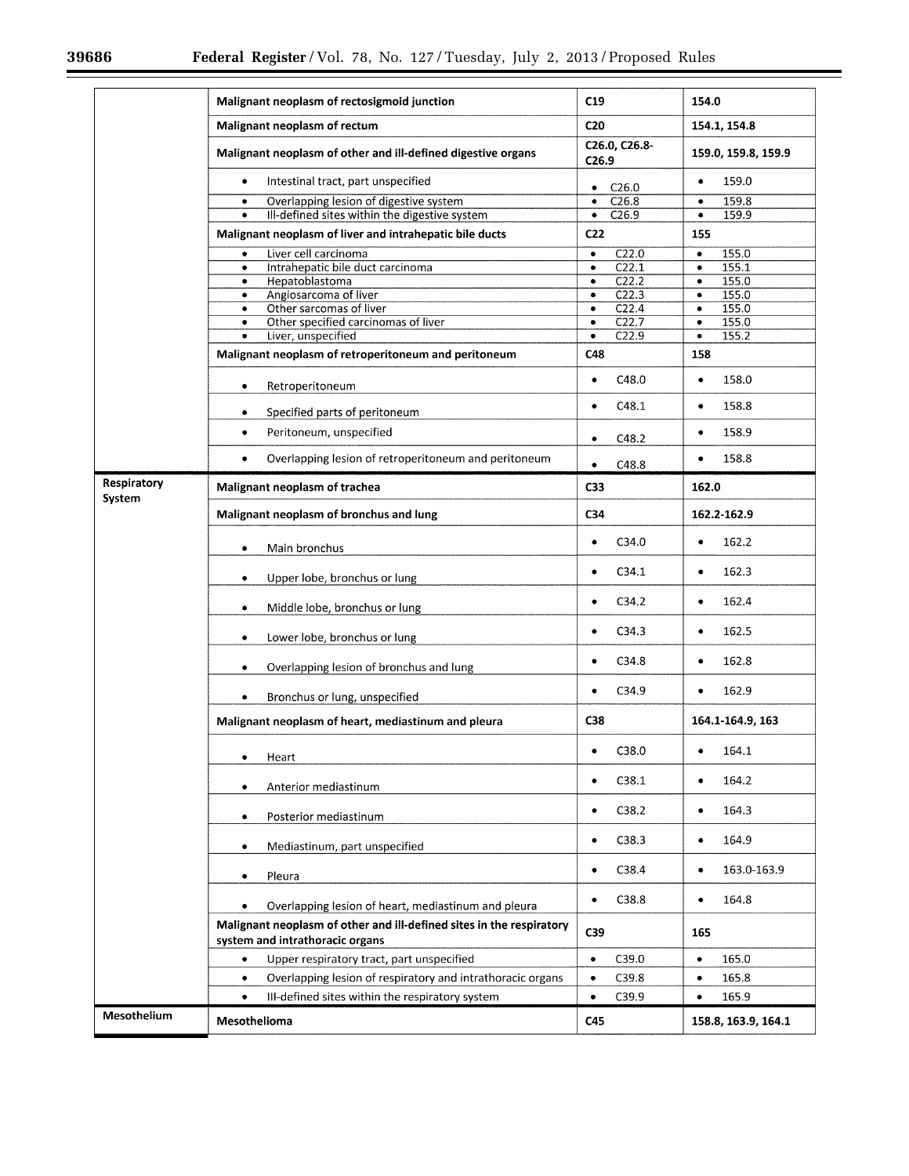▀

|                       | Malignant neoplasm of rectosigmoid junction                                                                    | C19                                      | 154.0                                                                                 |  |
|-----------------------|----------------------------------------------------------------------------------------------------------------|------------------------------------------|---------------------------------------------------------------------------------------|--|
|                       | Malignant neoplasm of rectum                                                                                   | C <sub>20</sub>                          | 154.1, 154.8                                                                          |  |
|                       | Malignant neoplasm of other and ill-defined digestive organs                                                   | C26.0, C26.8-<br>C <sub>26.9</sub>       | 159.0, 159.8, 159.9<br>159.0<br>$\bullet$<br>159.8<br>$\bullet$<br>159.9<br>$\bullet$ |  |
|                       | Intestinal tract, part unspecified<br>٠                                                                        | C <sub>26.0</sub><br>$\bullet$           |                                                                                       |  |
|                       | Overlapping lesion of digestive system<br>٠                                                                    | C26.8<br>$\bullet$                       |                                                                                       |  |
|                       | Ill-defined sites within the digestive system<br>٠<br>Malignant neoplasm of liver and intrahepatic bile ducts  | C26.9<br>$\bullet$<br>C <sub>22</sub>    | 155                                                                                   |  |
|                       |                                                                                                                |                                          |                                                                                       |  |
|                       | Liver cell carcinoma<br>٠<br>Intrahepatic bile duct carcinoma<br>$\bullet$                                     | C22.0<br>$\bullet$<br>C22.1<br>$\bullet$ | 155.0<br>$\bullet$<br>155.1<br>$\bullet$                                              |  |
|                       | Hepatoblastoma<br>$\bullet$                                                                                    | C22.2<br>$\bullet$                       | 155.0<br>$\bullet$                                                                    |  |
|                       | Angiosarcoma of liver<br>$\bullet$                                                                             | C <sub>22.3</sub><br>۰                   | 155.0<br>$\bullet$                                                                    |  |
|                       | Other sarcomas of liver<br>$\bullet$                                                                           | $\overline{C22.4}$<br>$\bullet$          | 155.0<br>$\bullet$<br>155.0                                                           |  |
|                       | Other specified carcinomas of liver<br>$\bullet$                                                               | C22.7<br>$\bullet$<br>$\bullet$          |                                                                                       |  |
|                       | Liver, unspecified<br>$\bullet$                                                                                | $\overline{C22.9}$<br>$\bullet$          | 155.2<br>$\bullet$                                                                    |  |
|                       | Malignant neoplasm of retroperitoneum and peritoneum                                                           | C48                                      | 158                                                                                   |  |
|                       | Retroperitoneum<br>۰                                                                                           | C48.0<br>$\bullet$                       | 158.0<br>$\bullet$                                                                    |  |
|                       | Specified parts of peritoneum<br>٠                                                                             | C48.1<br>$\bullet$                       | 158.8<br>$\bullet$                                                                    |  |
|                       | Peritoneum, unspecified<br>$\bullet$                                                                           | C48.2<br>۰                               | 158.9<br>$\bullet$                                                                    |  |
|                       | Overlapping lesion of retroperitoneum and peritoneum<br>$\bullet$                                              | C48.8<br>$\bullet$                       | 158.8<br>$\bullet$                                                                    |  |
| Respiratory<br>System | Malignant neoplasm of trachea                                                                                  | C <sub>33</sub>                          | 162.0                                                                                 |  |
|                       | Malignant neoplasm of bronchus and lung                                                                        | C <sub>34</sub>                          | 162.2-162.9                                                                           |  |
|                       | Main bronchus<br>٠                                                                                             | C34.0<br>$\bullet$                       | 162.2<br>$\bullet$                                                                    |  |
|                       | Upper lobe, bronchus or lung<br>٠                                                                              | C34.1<br>٠                               | 162.3<br>$\bullet$                                                                    |  |
|                       | Middle lobe, bronchus or lung<br>٠                                                                             | C34.2<br>٠                               | 162.4<br>٠                                                                            |  |
|                       | Lower lobe, bronchus or lung<br>٠                                                                              | C <sub>34.3</sub><br>$\bullet$           | 162.5<br>$\bullet$                                                                    |  |
|                       | Overlapping lesion of bronchus and lung<br>۰                                                                   | C34.8<br>$\bullet$                       | 162.8<br>$\bullet$                                                                    |  |
|                       | Bronchus or lung, unspecified                                                                                  | C34.9<br>٠                               | 162.9<br>$\bullet$                                                                    |  |
|                       | Malignant neoplasm of heart, mediastinum and pleura                                                            | C38                                      | 164.1-164.9, 163                                                                      |  |
|                       | Heart<br>$\bullet$                                                                                             | C38.0                                    | ٠<br>164.1                                                                            |  |
|                       | Anterior mediastinum<br>٠                                                                                      | C38.1<br>$\bullet$                       | 164.2<br>$\bullet$                                                                    |  |
|                       | Posterior mediastinum<br>٠                                                                                     | C38.2<br>٠                               | 164.3<br>٠                                                                            |  |
|                       | Mediastinum, part unspecified<br>$\bullet$                                                                     | C38.3<br>٠                               | 164.9<br>$\bullet$                                                                    |  |
|                       | Pleura<br>٠                                                                                                    | C <sub>38.4</sub><br>٠                   | 163.0-163.9<br>٠                                                                      |  |
|                       | Overlapping lesion of heart, mediastinum and pleura                                                            | C38.8<br>$\bullet$                       | 164.8<br>$\bullet$                                                                    |  |
|                       | Malignant neoplasm of other and ill-defined sites in the respiratory<br>C39<br>system and intrathoracic organs |                                          | 165                                                                                   |  |
|                       | Upper respiratory tract, part unspecified<br>$\bullet$                                                         | C39.0<br>$\bullet$                       | 165.0<br>$\bullet$                                                                    |  |
|                       | Overlapping lesion of respiratory and intrathoracic organs<br>$\bullet$                                        | C39.8<br>$\bullet$                       | 165.8<br>$\bullet$                                                                    |  |
|                       | III-defined sites within the respiratory system<br>$\bullet$                                                   | C39.9<br>$\bullet$                       | 165.9<br>$\bullet$                                                                    |  |
| Mesothelium           |                                                                                                                |                                          |                                                                                       |  |
|                       | Mesothelioma                                                                                                   | C45                                      | 158.8, 163.9, 164.1                                                                   |  |

 $\equiv$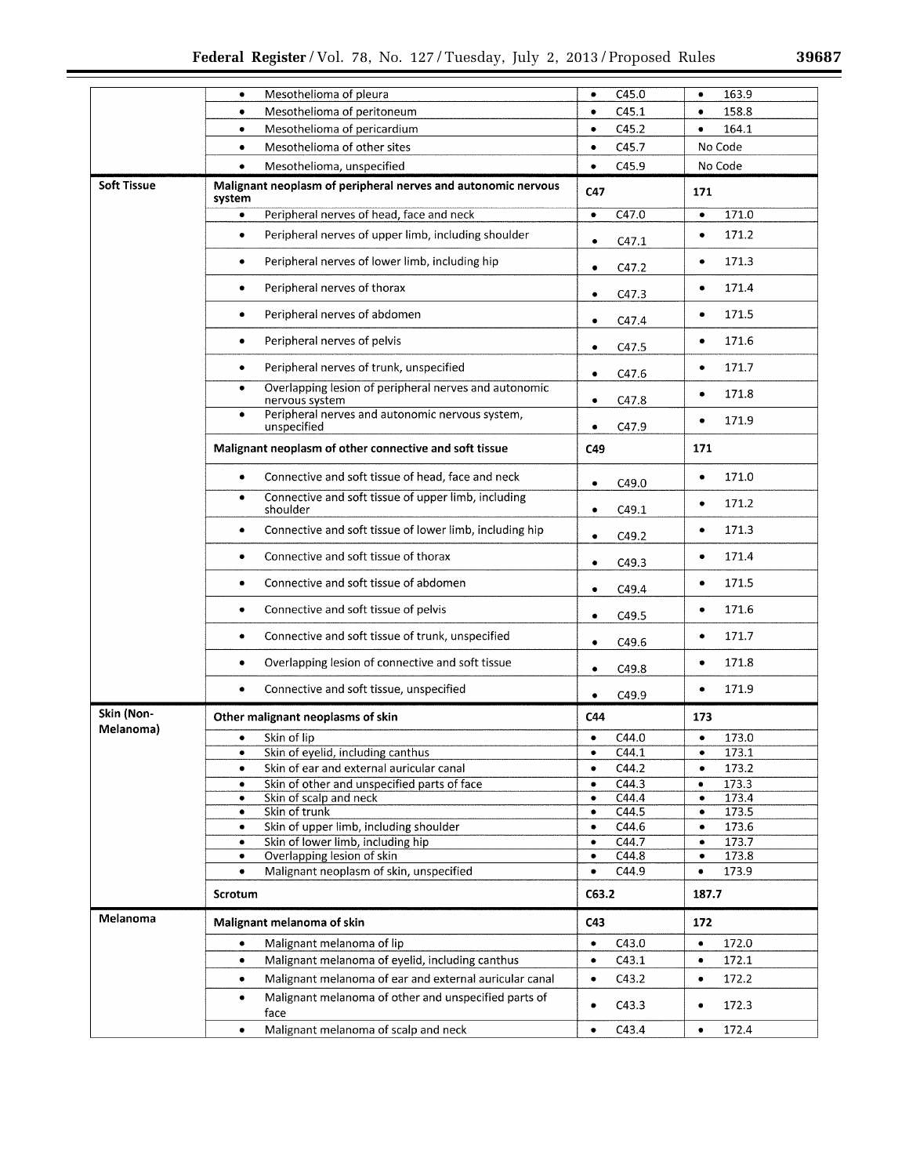÷.

|                         | Mesothelioma of pleura                                                               | C45.0                           | 163.9                           |
|-------------------------|--------------------------------------------------------------------------------------|---------------------------------|---------------------------------|
|                         | ٠                                                                                    | ٠                               | $\bullet$                       |
|                         | Mesothelioma of peritoneum                                                           | C45.1                           | 158.8                           |
|                         | ٠                                                                                    | $\bullet$                       | $\bullet$                       |
|                         | Mesothelioma of pericardium                                                          | C45.2                           | 164.1                           |
|                         | $\bullet$                                                                            | $\bullet$                       | $\bullet$                       |
|                         | Mesothelioma of other sites<br>$\bullet$                                             | C45.7<br>$\bullet$              | No Code                         |
|                         | Mesothelioma, unspecified<br>$\bullet$                                               | C45.9<br>$\bullet$              | No Code                         |
| <b>Soft Tissue</b>      | Malignant neoplasm of peripheral nerves and autonomic nervous<br>system              | C47                             | 171                             |
|                         | Peripheral nerves of head, face and neck                                             | C47.0                           | 171.0                           |
|                         | $\bullet$                                                                            | $\bullet$                       | $\bullet$                       |
|                         | Peripheral nerves of upper limb, including shoulder                                  | C47.1                           | 171.2                           |
|                         | ٠                                                                                    | $\bullet$                       | $\bullet$                       |
|                         | Peripheral nerves of lower limb, including hip                                       | C47.2                           | 171.3                           |
|                         | $\bullet$                                                                            | ٠                               | $\bullet$                       |
|                         | Peripheral nerves of thorax                                                          | C47.3                           | 171.4                           |
|                         | ٠                                                                                    | ٠                               | ٠                               |
|                         | Peripheral nerves of abdomen                                                         | C47.4                           | 171.5                           |
|                         | $\bullet$                                                                            | $\bullet$                       | $\bullet$                       |
|                         | Peripheral nerves of pelvis                                                          | C47.5                           | 171.6                           |
|                         | $\bullet$                                                                            | $\bullet$                       | $\bullet$                       |
|                         | Peripheral nerves of trunk, unspecified                                              | C47.6                           | 171.7                           |
|                         | $\bullet$                                                                            | $\bullet$                       | ٠                               |
|                         | Overlapping lesion of peripheral nerves and autonomic<br>$\bullet$<br>nervous system | C47.8<br>$\bullet$              | 171.8<br>٠                      |
|                         | Peripheral nerves and autonomic nervous system,<br>٠<br>unspecified                  | C47.9<br>٠                      | 171.9<br>$\bullet$              |
|                         | Malignant neoplasm of other connective and soft tissue                               | C49                             | 171                             |
|                         | Connective and soft tissue of head, face and neck                                    | C49.0                           | 171.0                           |
|                         | $\bullet$                                                                            | $\bullet$                       | $\bullet$                       |
|                         | Connective and soft tissue of upper limb, including<br>٠<br>shoulder                 | C49.1<br>$\bullet$              | 171.2<br>٠                      |
|                         | Connective and soft tissue of lower limb, including hip                              | C49.2                           | 171.3                           |
|                         | $\bullet$                                                                            | $\bullet$                       | $\bullet$                       |
|                         | Connective and soft tissue of thorax<br>$\bullet$                                    | C49.3<br>٠                      | 171.4<br>$\bullet$              |
|                         | Connective and soft tissue of abdomen<br>$\bullet$                                   | C49.4<br>٠                      | 171.5<br>$\bullet$              |
|                         | Connective and soft tissue of pelvis<br>$\bullet$                                    | C49.5<br>٠                      | 171.6<br>$\bullet$              |
|                         | Connective and soft tissue of trunk, unspecified<br>٠                                | C49.6<br>٠                      | 171.7<br>۰                      |
|                         | Overlapping lesion of connective and soft tissue<br>٠                                | C49.8<br>٠                      | 171.8<br>٠                      |
|                         | Connective and soft tissue, unspecified                                              | C49.9                           | 171.9                           |
|                         | $\bullet$                                                                            | ٠                               | ٠                               |
| Skin (Non-<br>Melanoma) | Other malignant neoplasms of skin                                                    | C44                             | 173                             |
|                         | Skin of lip                                                                          | C44.0                           | 173.0                           |
|                         | ٠                                                                                    | ٠                               | ٠                               |
|                         | Skin of eyelid, including canthus                                                    | C44.1                           | 173.1<br>٠                      |
|                         | Skin of ear and external auricular canal<br>$\bullet$                                | C44.2<br>$\bullet$<br>C44.3     | 173.2<br>$\bullet$<br>173.3     |
|                         | Skin of other and unspecified parts of face<br>٠<br>Skin of scalp and neck<br>٠      | $\bullet$<br>C44.4<br>$\bullet$ | $\bullet$<br>173.4<br>$\bullet$ |
|                         | Skin of trunk                                                                        | C44.5                           | 173.5                           |
|                         | ٠                                                                                    | $\bullet$                       | $\bullet$                       |
|                         | Skin of upper limb, including shoulder                                               | C44.6                           | 173.6                           |
|                         | ٠                                                                                    | ٠                               | $\bullet$                       |
|                         | Skin of lower limb, including hip                                                    | C44.7                           | 173.7                           |
|                         | ٠                                                                                    | $\bullet$                       | $\bullet$                       |
|                         | Overlapping lesion of skin                                                           | C44.8                           | 173.8                           |
|                         | ٠                                                                                    | $\bullet$                       | $\bullet$                       |
|                         | Malignant neoplasm of skin, unspecified<br>$\bullet$                                 | C44.9<br>$\bullet$              | 173.9<br>$\bullet$              |
|                         | Scrotum                                                                              | C63.2                           | 187.7                           |
| Melanoma                | Malignant melanoma of skin                                                           | C43                             | 172                             |
|                         | Malignant melanoma of lip                                                            | C43.0<br>٠                      | 172.0<br>٠                      |
|                         | Malignant melanoma of eyelid, including canthus                                      | C43.1                           | 172.1                           |
|                         | $\bullet$                                                                            | $\bullet$                       | $\bullet$                       |
|                         | Malignant melanoma of ear and external auricular canal                               | C43.2                           | 172.2                           |
|                         | $\bullet$                                                                            | ٠                               | $\bullet$                       |
|                         | Malignant melanoma of other and unspecified parts of<br>٠<br>face                    | C43.3                           | 172.3<br>٠                      |
|                         | Malignant melanoma of scalp and neck                                                 | C43.4                           | 172.4                           |
|                         | $\bullet$                                                                            | ٠                               | ٠                               |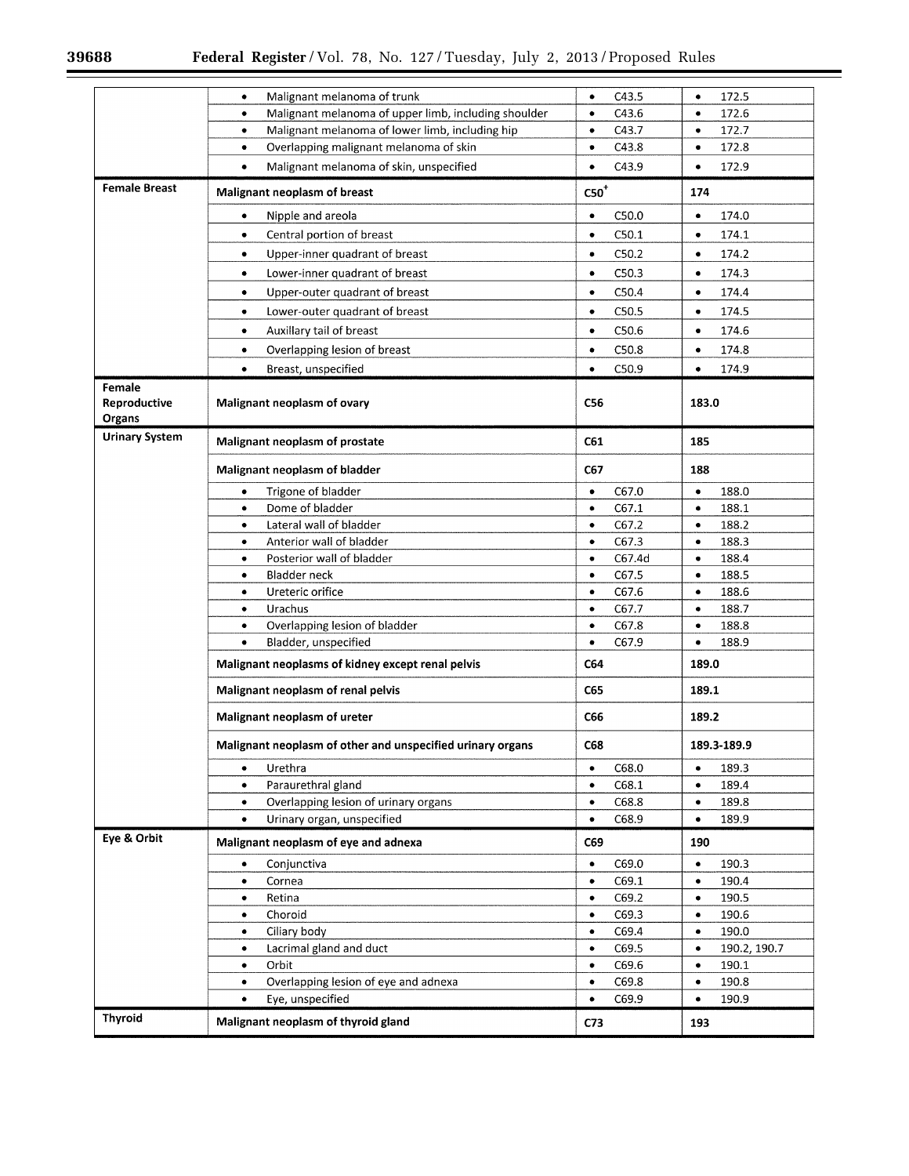$\equiv$ 

 $\equiv$ 

|                                  | Malignant melanoma of trunk                                | C43.5              | 172.5               |  |
|----------------------------------|------------------------------------------------------------|--------------------|---------------------|--|
|                                  | ۰                                                          | ٠                  | $\bullet$           |  |
|                                  | Malignant melanoma of upper limb, including shoulder       | C43.6              | 172.6               |  |
|                                  | ۰                                                          | ٠                  | $\bullet$           |  |
|                                  | Malignant melanoma of lower limb, including hip            | C43.7              | 172.7               |  |
|                                  | ٠                                                          | $\bullet$          | ٠                   |  |
|                                  | Overlapping malignant melanoma of skin                     | C43.8              | 172.8               |  |
|                                  | ٠                                                          | $\bullet$          | $\bullet$           |  |
|                                  | Malignant melanoma of skin, unspecified                    | C43.9              | 172.9               |  |
|                                  | ۰                                                          | ٠                  | $\bullet$           |  |
| <b>Female Breast</b>             | Malignant neoplasm of breast                               | ${\rm C50}^+$      | 174                 |  |
|                                  | Nipple and areola                                          | C50.0              | 174.0               |  |
|                                  | ۰                                                          | $\bullet$          | ٠                   |  |
|                                  | Central portion of breast                                  | C50.1              | 174.1               |  |
|                                  | ٠                                                          | $\bullet$          | ٠                   |  |
|                                  | Upper-inner quadrant of breast                             | C50.2              | 174.2               |  |
|                                  | ۰                                                          | $\bullet$          | $\bullet$           |  |
|                                  | Lower-inner quadrant of breast                             | C50.3              | 174.3               |  |
|                                  | ۰                                                          | $\bullet$          | $\bullet$           |  |
|                                  | Upper-outer quadrant of breast                             | C50.4              | 174.4               |  |
|                                  | ٠                                                          | $\bullet$          | $\bullet$           |  |
|                                  | Lower-outer quadrant of breast                             | C50.5              | 174.5               |  |
|                                  | ٠                                                          | $\bullet$          | ٠                   |  |
|                                  |                                                            |                    |                     |  |
|                                  | Auxillary tail of breast                                   | C50.6              | 174.6               |  |
|                                  | $\bullet$                                                  | $\bullet$          | $\bullet$           |  |
|                                  | Overlapping lesion of breast                               | C50.8              | 174.8               |  |
|                                  | ۰                                                          | ٠                  | $\bullet$           |  |
|                                  | Breast, unspecified                                        | C50.9              | 174.9               |  |
|                                  | ٠                                                          | $\bullet$          | $\bullet$           |  |
| Female<br>Reproductive<br>Organs | Malignant neoplasm of ovary                                | C56                | 183.0               |  |
| <b>Urinary System</b>            | Malignant neoplasm of prostate                             | <b>C61</b>         | 185                 |  |
|                                  | Malignant neoplasm of bladder                              | C67                | 188                 |  |
|                                  | Trigone of bladder                                         | C67.0              | 188.0               |  |
|                                  | ۰                                                          | $\bullet$          | ٠                   |  |
|                                  | Dome of bladder                                            | C67.1              | $\bullet$           |  |
|                                  | $\bullet$                                                  | $\bullet$          | 188.1               |  |
|                                  | Lateral wall of bladder                                    | C67.2              | 188.2               |  |
|                                  | ٠                                                          | $\bullet$          | $\bullet$           |  |
|                                  | Anterior wall of bladder                                   | C67.3              | 188.3               |  |
|                                  | ٠                                                          | $\bullet$          | $\bullet$           |  |
|                                  | Posterior wall of bladder                                  | C67.4d             | 188.4               |  |
|                                  | ٠                                                          | ٠                  | ٠                   |  |
|                                  | <b>Bladder neck</b>                                        | C67.5              | 188.5               |  |
|                                  | ٠                                                          | ۰                  | $\bullet$           |  |
|                                  | Ureteric orifice                                           | C67.6              | 188.6               |  |
|                                  | $\bullet$                                                  | $\bullet$          | $\bullet$           |  |
|                                  | Urachus                                                    | C67.7              | 188.7               |  |
|                                  | ٠                                                          | $\bullet$          | $\bullet$           |  |
|                                  | Overlapping lesion of bladder                              | C67.8              | 188.8               |  |
|                                  | ٠                                                          | $\bullet$          | ٠                   |  |
|                                  | Bladder, unspecified                                       | C67.9              | 188.9               |  |
|                                  | $\bullet$                                                  | $\bullet$          | $\bullet$           |  |
|                                  | Malignant neoplasms of kidney except renal pelvis          | C64                | 189.0<br>189.1      |  |
|                                  | Malignant neoplasm of renal pelvis                         | C65                |                     |  |
|                                  | Malignant neoplasm of ureter                               | C66                | 189.2               |  |
|                                  | Malignant neoplasm of other and unspecified urinary organs | C68                | 189.3-189.9         |  |
|                                  | Urethra                                                    | C68.0<br>۰         | 189.3<br>٠          |  |
|                                  | Paraurethral gland                                         | C68.1              | 189.4               |  |
|                                  | $\bullet$                                                  | $\bullet$          | $\bullet$           |  |
|                                  | Overlapping lesion of urinary organs                       | C68.8              | 189.8               |  |
|                                  | ۰                                                          | $\bullet$          | $\bullet$           |  |
|                                  | Urinary organ, unspecified                                 | C68.9              | 189.9               |  |
|                                  | $\bullet$                                                  | $\bullet$          | ٠                   |  |
| Eye & Orbit                      | Malignant neoplasm of eye and adnexa                       | C69                | 190                 |  |
|                                  | Conjunctiva                                                | C69.0              | 190.3               |  |
|                                  | ٠                                                          | $\bullet$          | ٠                   |  |
|                                  | Cornea                                                     | C69.1              | 190.4               |  |
|                                  | ٠                                                          | $\bullet$          | $\bullet$           |  |
|                                  | Retina                                                     | C69.2              | 190.5               |  |
|                                  | $\bullet$                                                  | ٠                  | $\bullet$           |  |
|                                  | Choroid                                                    | C69.3              | 190.6               |  |
|                                  | ٠                                                          | ٠                  | $\bullet$           |  |
|                                  | Ciliary body                                               | C69.4              | 190.0               |  |
|                                  | ٠                                                          | $\bullet$          | $\bullet$           |  |
|                                  | Lacrimal gland and duct                                    | C69.5              | 190.2, 190.7        |  |
|                                  | ٠                                                          | ٠                  | $\bullet$           |  |
|                                  | Orbit                                                      | C69.6              | 190.1               |  |
|                                  | ٠                                                          | ٠                  | ٠                   |  |
|                                  | Overlapping lesion of eye and adnexa                       | C69.8<br>٠         | 190.8<br>٠<br>190.9 |  |
|                                  | Eye, unspecified<br>٠                                      | C69.9<br>$\bullet$ | ٠                   |  |
| <b>Thyroid</b>                   | Malignant neoplasm of thyroid gland                        | C <sub>73</sub>    | 193                 |  |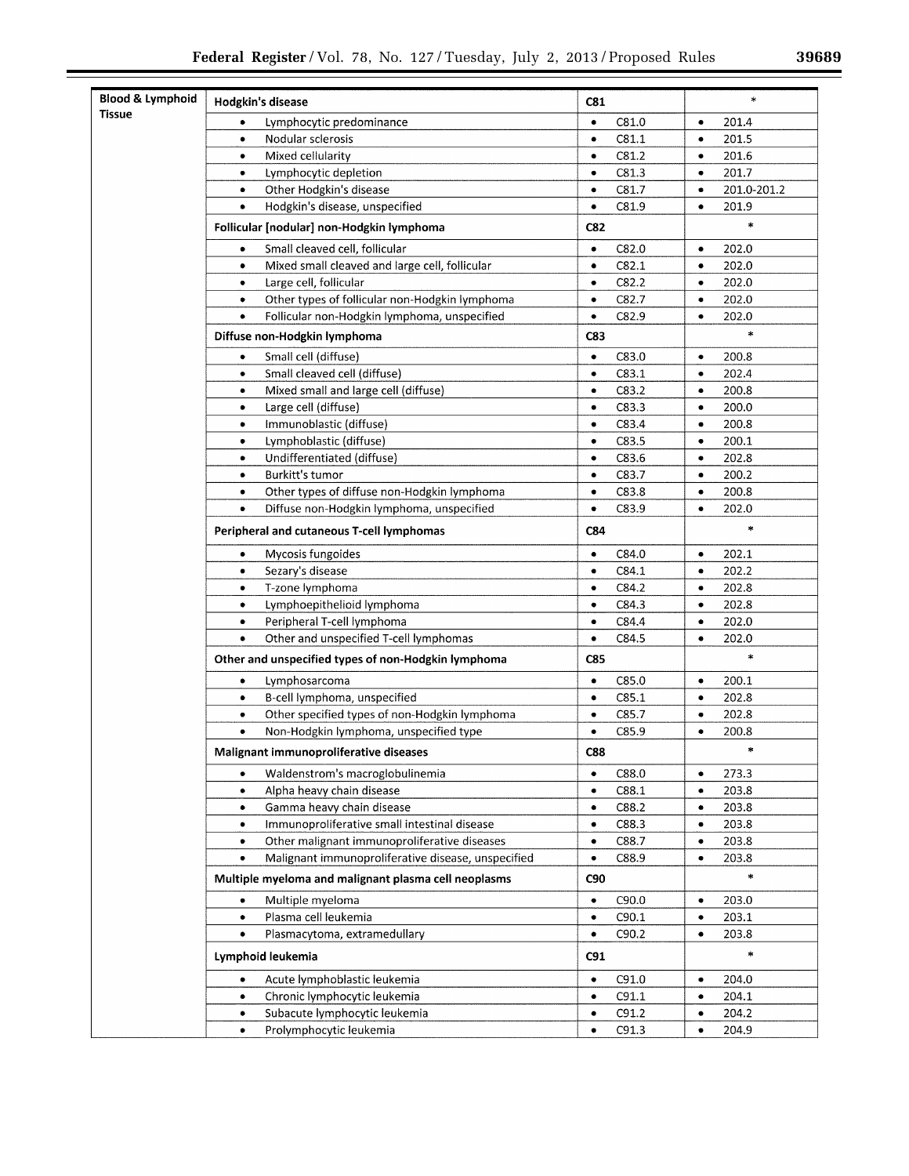| <b>Blood &amp; Lymphoid</b> | Hodgkin's disease                                    | <b>C81</b> | $\ast$      |
|-----------------------------|------------------------------------------------------|------------|-------------|
| <b>Tissue</b>               | Lymphocytic predominance                             | C81.0      | 201.4       |
|                             | ٠                                                    | $\bullet$  | $\bullet$   |
|                             | Nodular sclerosis                                    | C81.1      | 201.5       |
|                             | $\bullet$                                            | ٠          | $\bullet$   |
|                             | Mixed cellularity                                    | C81.2      | 201.6       |
|                             | $\bullet$                                            | $\bullet$  | $\bullet$   |
|                             | Lymphocytic depletion                                | C81.3      | 201.7       |
|                             | $\bullet$                                            | $\bullet$  | $\bullet$   |
|                             | Other Hodgkin's disease                              | C81.7      | 201.0-201.2 |
|                             | $\bullet$                                            | $\bullet$  | $\bullet$   |
|                             | Hodgkin's disease, unspecified                       | C81.9      | 201.9       |
|                             | $\bullet$                                            | $\bullet$  | $\bullet$   |
|                             | Follicular [nodular] non-Hodgkin lymphoma            | C82        | $\ast$      |
|                             | Small cleaved cell, follicular                       | C82.0      | 202.0       |
|                             | ٠                                                    | $\bullet$  | $\bullet$   |
|                             | Mixed small cleaved and large cell, follicular       | C82.1      | 202.0       |
|                             | $\bullet$                                            | $\bullet$  | $\bullet$   |
|                             | Large cell, follicular                               | C82.2      | 202.0       |
|                             | $\bullet$                                            | $\bullet$  | $\bullet$   |
|                             | Other types of follicular non-Hodgkin lymphoma       | C82.7      | 202.0       |
|                             | $\bullet$                                            | $\bullet$  | $\bullet$   |
|                             | Follicular non-Hodgkin lymphoma, unspecified         | C82.9      | 202.0       |
|                             | $\bullet$                                            | $\bullet$  | $\bullet$   |
|                             | Diffuse non-Hodgkin lymphoma                         | C83        | $\ast$      |
|                             | Small cell (diffuse)                                 | C83.0      | 200.8       |
|                             | ٠                                                    | ٠          | ٠           |
|                             | Small cleaved cell (diffuse)                         | C83.1      | 202.4       |
|                             | $\bullet$                                            | $\bullet$  | $\bullet$   |
|                             | Mixed small and large cell (diffuse)                 | C83.2      | 200.8       |
|                             | $\bullet$                                            | $\bullet$  | $\bullet$   |
|                             | Large cell (diffuse)                                 | C83.3      | 200.0       |
|                             | $\bullet$                                            | $\bullet$  | $\bullet$   |
|                             | Immunoblastic (diffuse)                              | C83.4      | 200.8       |
|                             | $\bullet$                                            | $\bullet$  | $\bullet$   |
|                             | Lymphoblastic (diffuse)                              | C83.5      | 200.1       |
|                             | $\bullet$                                            | $\bullet$  | $\bullet$   |
|                             | Undifferentiated (diffuse)                           | C83.6      | 202.8       |
|                             | ٠                                                    | $\bullet$  | ٠           |
|                             | Burkitt's tumor                                      | C83.7      | 200.2       |
|                             | $\bullet$                                            | $\bullet$  | $\bullet$   |
|                             | Other types of diffuse non-Hodgkin lymphoma          | C83.8      | 200.8       |
|                             | $\bullet$                                            | $\bullet$  | $\bullet$   |
|                             | Diffuse non-Hodgkin lymphoma, unspecified            | C83.9      | 202.0       |
|                             | $\bullet$                                            | $\bullet$  | $\bullet$   |
|                             | Peripheral and cutaneous T-cell lymphomas            | C84        | $\ast$      |
|                             | Mycosis fungoides                                    | C84.0      | 202.1       |
|                             | $\bullet$                                            | $\bullet$  | $\bullet$   |
|                             | Sezary's disease                                     | C84.1      | 202.2       |
|                             | $\bullet$                                            | $\bullet$  | $\bullet$   |
|                             | T-zone lymphoma                                      | C84.2      | 202.8       |
|                             | $\bullet$                                            | ٠          | $\bullet$   |
|                             | Lymphoepithelioid lymphoma                           | C84.3      | 202.8       |
|                             | ۰                                                    | $\bullet$  | $\bullet$   |
|                             | Peripheral T-cell lymphoma                           | C84.4      | 202.0       |
|                             | $\bullet$                                            | $\bullet$  | $\bullet$   |
|                             | Other and unspecified T-cell lymphomas               | C84.5      | 202.0       |
|                             | $\bullet$                                            | $\bullet$  | $\bullet$   |
|                             | Other and unspecified types of non-Hodgkin lymphoma  | C85        | $\ast$      |
|                             | Lymphosarcoma                                        | C85.0      | 200.1       |
|                             | ٠                                                    | $\bullet$  | $\bullet$   |
|                             | B-cell lymphoma, unspecified                         | C85.1      | 202.8       |
|                             | $\bullet$                                            | $\bullet$  | $\bullet$   |
|                             | Other specified types of non-Hodgkin lymphoma        | C85.7      | 202.8       |
|                             | $\bullet$                                            | $\bullet$  | $\bullet$   |
|                             | Non-Hodgkin lymphoma, unspecified type               | C85.9      | 200.8       |
|                             | ٠                                                    | ٠          | $\bullet$   |
|                             | Malignant immunoproliferative diseases               | <b>C88</b> | *           |
|                             | Waldenstrom's macroglobulinemia                      | C88.0      | 273.3       |
|                             | ٠                                                    | $\bullet$  | $\bullet$   |
|                             | Alpha heavy chain disease                            | C88.1      | 203.8       |
|                             | $\bullet$                                            | ٠          | $\bullet$   |
|                             | Gamma heavy chain disease                            | C88.2      | 203.8       |
|                             | $\bullet$                                            | $\bullet$  | $\bullet$   |
|                             | Immunoproliferative small intestinal disease         | C88.3      | 203.8       |
|                             | $\bullet$                                            | ٠          | $\bullet$   |
|                             | Other malignant immunoproliferative diseases         | C88.7      | 203.8       |
|                             | $\bullet$                                            | $\bullet$  | $\bullet$   |
|                             | Malignant immunoproliferative disease, unspecified   | C88.9      | 203.8       |
|                             | $\bullet$                                            | $\bullet$  | $\bullet$   |
|                             | Multiple myeloma and malignant plasma cell neoplasms | <b>C90</b> | *           |
|                             | Multiple myeloma                                     | C90.0      | 203.0       |
|                             | ۰                                                    | ٠          | $\bullet$   |
|                             | Plasma cell leukemia                                 | C90.1      | 203.1       |
|                             | $\bullet$                                            | ٠          | $\bullet$   |
|                             | Plasmacytoma, extramedullary                         | C90.2      | 203.8       |
|                             | $\bullet$                                            | ٠          | ٠           |
|                             | Lymphoid leukemia                                    | C91        | $\ast$      |
|                             | Acute lymphoblastic leukemia                         | C91.0      | 204.0       |
|                             | ۰                                                    | $\bullet$  | $\bullet$   |
|                             | Chronic lymphocytic leukemia                         | C91.1      | 204.1       |
|                             | ٠                                                    | $\bullet$  | $\bullet$   |
|                             | Subacute lymphocytic leukemia                        | C91.2      | 204.2       |
|                             | $\bullet$                                            | ٠          | ٠           |
|                             | Prolymphocytic leukemia                              | C91.3      | 204.9       |
|                             | $\bullet$                                            | ٠          | ٠           |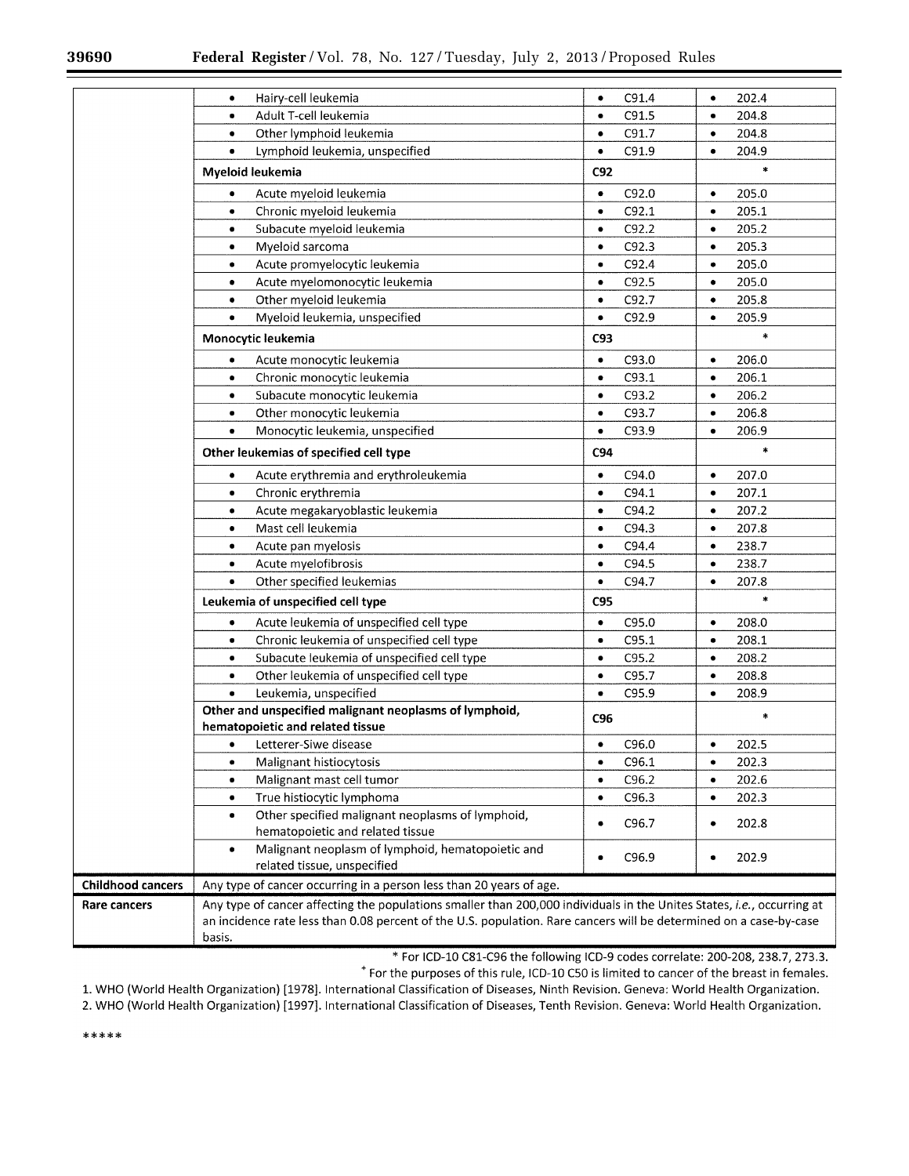|                          | Hairy-cell leukemia<br>٠                                                                                               | ۰         | C91.4 | ۰         | 202.4  |
|--------------------------|------------------------------------------------------------------------------------------------------------------------|-----------|-------|-----------|--------|
|                          | Adult T-cell leukemia<br>۰                                                                                             | ۰         | C91.5 | $\bullet$ | 204.8  |
|                          | Other lymphoid leukemia<br>۰                                                                                           | $\bullet$ | C91.7 | $\bullet$ | 204.8  |
|                          | Lymphoid leukemia, unspecified<br>$\bullet$                                                                            | $\bullet$ | C91.9 | $\bullet$ | 204.9  |
|                          | Myeloid leukemia                                                                                                       | C92       |       |           | $\ast$ |
|                          | Acute myeloid leukemia<br>٠                                                                                            | $\bullet$ | C92.0 | $\bullet$ | 205.0  |
|                          | Chronic myeloid leukemia<br>٠                                                                                          | $\bullet$ | C92.1 | $\bullet$ | 205.1  |
|                          | Subacute myeloid leukemia<br>٠                                                                                         | ٠         | C92.2 | $\bullet$ | 205.2  |
|                          | Myeloid sarcoma<br>٠                                                                                                   | $\bullet$ | C92.3 | $\bullet$ | 205.3  |
|                          | Acute promyelocytic leukemia<br>٠                                                                                      | $\bullet$ | C92.4 | $\bullet$ | 205.0  |
|                          | Acute myelomonocytic leukemia<br>٠                                                                                     | $\bullet$ | C92.5 | ۰         | 205.0  |
|                          | Other myeloid leukemia<br>٠                                                                                            | $\bullet$ | C92.7 | ٠         | 205.8  |
|                          | Myeloid leukemia, unspecified<br>٠                                                                                     | ٠         | C92.9 | $\bullet$ | 205.9  |
|                          | Monocytic leukemia                                                                                                     | C93       |       |           | *      |
|                          | Acute monocytic leukemia<br>٠                                                                                          | $\bullet$ | C93.0 | $\bullet$ | 206.0  |
|                          | Chronic monocytic leukemia<br>٠                                                                                        | $\bullet$ | C93.1 | $\bullet$ | 206.1  |
|                          | Subacute monocytic leukemia<br>٠                                                                                       | $\bullet$ | C93.2 | $\bullet$ | 206.2  |
|                          | Other monocytic leukemia<br>٠                                                                                          | $\bullet$ | C93.7 | $\bullet$ | 206.8  |
|                          | Monocytic leukemia, unspecified<br>٠                                                                                   | ٠         | C93.9 | $\bullet$ | 206.9  |
|                          | Other leukemias of specified cell type                                                                                 | C94       |       |           | $\ast$ |
|                          | Acute erythremia and erythroleukemia<br>٠                                                                              | ٠         | C94.0 | $\bullet$ | 207.0  |
|                          | Chronic erythremia<br>٠                                                                                                | $\bullet$ | C94.1 | ٠         | 207.1  |
|                          | Acute megakaryoblastic leukemia<br>٠                                                                                   | $\bullet$ | C94.2 | $\bullet$ | 207.2  |
|                          | Mast cell leukemia<br>٠                                                                                                | ۰         | C94.3 | $\bullet$ | 207.8  |
|                          | Acute pan myelosis<br>٠                                                                                                | $\bullet$ | C94.4 | $\bullet$ | 238.7  |
|                          | Acute myelofibrosis<br>٠                                                                                               | $\bullet$ | C94.5 | $\bullet$ | 238.7  |
|                          | Other specified leukemias<br>٠                                                                                         | $\bullet$ | C94.7 | $\bullet$ | 207.8  |
|                          | Leukemia of unspecified cell type                                                                                      | C95       |       |           | ×      |
|                          | Acute leukemia of unspecified cell type<br>٠                                                                           | $\bullet$ | C95.0 | ۰         | 208.0  |
|                          | Chronic leukemia of unspecified cell type<br>٠                                                                         | $\bullet$ | C95.1 | $\bullet$ | 208.1  |
|                          | Subacute leukemia of unspecified cell type<br>$\bullet$                                                                | ٠         | C95.2 | $\bullet$ | 208.2  |
|                          | Other leukemia of unspecified cell type<br>٠                                                                           | ٠         | C95.7 | $\bullet$ | 208.8  |
|                          | Leukemia, unspecified<br>٠                                                                                             | $\bullet$ | C95.9 | $\bullet$ | 208.9  |
|                          | Other and unspecified malignant neoplasms of lymphoid,<br>hematopoietic and related tissue                             | C96       |       |           | ÷      |
|                          | Letterer-Siwe disease<br>٠                                                                                             | ٠         | C96.0 | ٠         | 202.5  |
|                          | Malignant histiocytosis<br>٠                                                                                           | ٠         | C96.1 | $\bullet$ | 202.3  |
|                          | Malignant mast cell tumor<br>٠                                                                                         | ٠         | C96.2 | $\bullet$ | 202.6  |
|                          | True histiocytic lymphoma<br>$\bullet$                                                                                 | ٠         | C96.3 | $\bullet$ | 202.3  |
|                          | Other specified malignant neoplasms of lymphoid,<br>٠<br>hematopoietic and related tissue                              | ٠         | C96.7 | $\bullet$ | 202.8  |
|                          | Malignant neoplasm of lymphoid, hematopoietic and<br>٠<br>related tissue, unspecified                                  | ٠         | C96.9 | ٠         | 202.9  |
| <b>Childhood cancers</b> | Any type of cancer occurring in a person less than 20 years of age.                                                    |           |       |           |        |
| <b>Rare cancers</b>      | Any type of cancer affecting the populations smaller than 200,000 individuals in the Unites States, i.e., occurring at |           |       |           |        |
|                          | an incidence rate less than 0.08 percent of the U.S. population. Rare cancers will be determined on a case-by-case     |           |       |           |        |
|                          | basis.                                                                                                                 |           |       |           |        |

\* For ICD-10 C81-C96 the following ICD-9 codes correlate: 200-208, 238.7, 273.3.

\* For the purposes of this rule, ICD-10 C50 is limited to cancer of the breast in females.

1. WHO (World Health Organization) [1978]. International Classification of Diseases, Ninth Revision. Geneva: World Health Organization.

2. WHO (World Health Organization) [1997]. International Classification of Diseases, Tenth Revision. Geneva: World Health Organization.